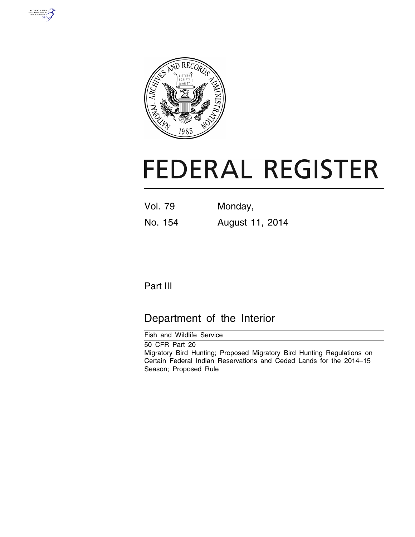



# **FEDERAL REGISTER**

| <b>Vol. 79</b> | Monday,         |
|----------------|-----------------|
| No. 154        | August 11, 2014 |

# Part III

# Department of the Interior

Fish and Wildlife Service

50 CFR Part 20 Migratory Bird Hunting; Proposed Migratory Bird Hunting Regulations on Certain Federal Indian Reservations and Ceded Lands for the 2014–15 Season; Proposed Rule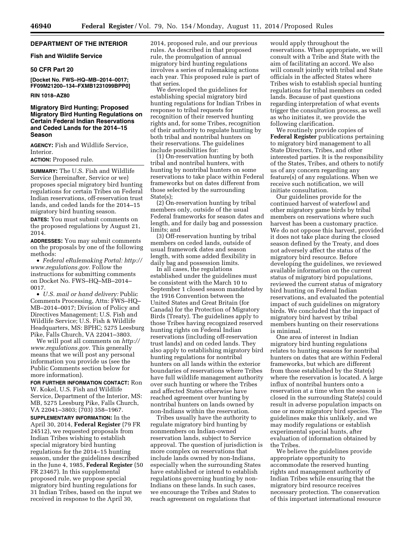# **DEPARTMENT OF THE INTERIOR**

#### **Fish and Wildlife Service**

#### **50 CFR Part 20**

**[Docket No. FWS–HQ–MB–2014–0017; FF09M21200–134–FXMB1231099BPP0]** 

# **RIN 1018–AZ80**

# **Migratory Bird Hunting; Proposed Migratory Bird Hunting Regulations on Certain Federal Indian Reservations and Ceded Lands for the 2014–15 Season**

**AGENCY:** Fish and Wildlife Service, Interior.

# **ACTION:** Proposed rule.

**SUMMARY:** The U.S. Fish and Wildlife Service (hereinafter, Service or we) proposes special migratory bird hunting regulations for certain Tribes on Federal Indian reservations, off-reservation trust lands, and ceded lands for the 2014–15 migratory bird hunting season.

**DATES:** You must submit comments on the proposed regulations by August 21, 2014.

**ADDRESSES:** You may submit comments on the proposals by one of the following methods:

• *Federal eRulemaking Portal: [http://](http://www.regulations.gov)  [www.regulations.gov.](http://www.regulations.gov)* Follow the instructions for submitting comments on Docket No. FWS–HQ–MB–2014– 0017.

• *U.S. mail or hand delivery:* Public Comments Processing, Attn: FWS–HQ– MB–2014–0017; Division of Policy and Directives Management; U.S. Fish and Wildlife Service; U.S. Fish & Wildlife Headquarters, MS: BPHC; 5275 Leesburg Pike, Falls Church, VA 22041–3803.

We will post all comments on *[http://](http://www.regulations.gov) [www.regulations.gov.](http://www.regulations.gov)* This generally means that we will post any personal information you provide us (see the Public Comments section below for more information).

**FOR FURTHER INFORMATION CONTACT:** Ron W. Kokel, U.S. Fish and Wildlife Service, Department of the Interior, MS: MB, 5275 Leesburg Pike, Falls Church, VA 22041–3803; (703) 358–1967.

**SUPPLEMENTARY INFORMATION:** In the April 30, 2014, **Federal Register** (79 FR 24512), we requested proposals from Indian Tribes wishing to establish special migratory bird hunting regulations for the 2014–15 hunting season, under the guidelines described in the June 4, 1985, **Federal Register** (50 FR 23467). In this supplemental proposed rule, we propose special migratory bird hunting regulations for 31 Indian Tribes, based on the input we received in response to the April 30,

2014, proposed rule, and our previous rules. As described in that proposed rule, the promulgation of annual migratory bird hunting regulations involves a series of rulemaking actions each year. This proposed rule is part of that series.

We developed the guidelines for establishing special migratory bird hunting regulations for Indian Tribes in response to tribal requests for recognition of their reserved hunting rights and, for some Tribes, recognition of their authority to regulate hunting by both tribal and nontribal hunters on their reservations. The guidelines include possibilities for:

(1) On-reservation hunting by both tribal and nontribal hunters, with hunting by nontribal hunters on some reservations to take place within Federal frameworks but on dates different from those selected by the surrounding State(s);

(2) On-reservation hunting by tribal members only, outside of the usual Federal frameworks for season dates and length, and for daily bag and possession limits; and

(3) Off-reservation hunting by tribal members on ceded lands, outside of usual framework dates and season length, with some added flexibility in daily bag and possession limits.

In all cases, the regulations established under the guidelines must be consistent with the March 10 to September 1 closed season mandated by the 1916 Convention between the United States and Great Britain (for Canada) for the Protection of Migratory Birds (Treaty). The guidelines apply to those Tribes having recognized reserved hunting rights on Federal Indian reservations (including off-reservation trust lands) and on ceded lands. They also apply to establishing migratory bird hunting regulations for nontribal hunters on all lands within the exterior boundaries of reservations where Tribes have full wildlife management authority over such hunting or where the Tribes and affected States otherwise have reached agreement over hunting by nontribal hunters on lands owned by non-Indians within the reservation.

Tribes usually have the authority to regulate migratory bird hunting by nonmembers on Indian-owned reservation lands, subject to Service approval. The question of jurisdiction is more complex on reservations that include lands owned by non-Indians, especially when the surrounding States have established or intend to establish regulations governing hunting by non-Indians on these lands. In such cases, we encourage the Tribes and States to reach agreement on regulations that

would apply throughout the reservations. When appropriate, we will consult with a Tribe and State with the aim of facilitating an accord. We also will consult jointly with tribal and State officials in the affected States where Tribes wish to establish special hunting regulations for tribal members on ceded lands. Because of past questions regarding interpretation of what events trigger the consultation process, as well as who initiates it, we provide the following clarification.

We routinely provide copies of **Federal Register** publications pertaining to migratory bird management to all State Directors, Tribes, and other interested parties. It is the responsibility of the States, Tribes, and others to notify us of any concern regarding any feature(s) of any regulations. When we receive such notification, we will initiate consultation.

Our guidelines provide for the continued harvest of waterfowl and other migratory game birds by tribal members on reservations where such harvest has been a customary practice. We do not oppose this harvest, provided it does not take place during the closed season defined by the Treaty, and does not adversely affect the status of the migratory bird resource. Before developing the guidelines, we reviewed available information on the current status of migratory bird populations, reviewed the current status of migratory bird hunting on Federal Indian reservations, and evaluated the potential impact of such guidelines on migratory birds. We concluded that the impact of migratory bird harvest by tribal members hunting on their reservations is minimal.

One area of interest in Indian migratory bird hunting regulations relates to hunting seasons for nontribal hunters on dates that are within Federal frameworks, but which are different from those established by the State(s) where the reservation is located. A large influx of nontribal hunters onto a reservation at a time when the season is closed in the surrounding State(s) could result in adverse population impacts on one or more migratory bird species. The guidelines make this unlikely, and we may modify regulations or establish experimental special hunts, after evaluation of information obtained by the Tribes.

We believe the guidelines provide appropriate opportunity to accommodate the reserved hunting rights and management authority of Indian Tribes while ensuring that the migratory bird resource receives necessary protection. The conservation of this important international resource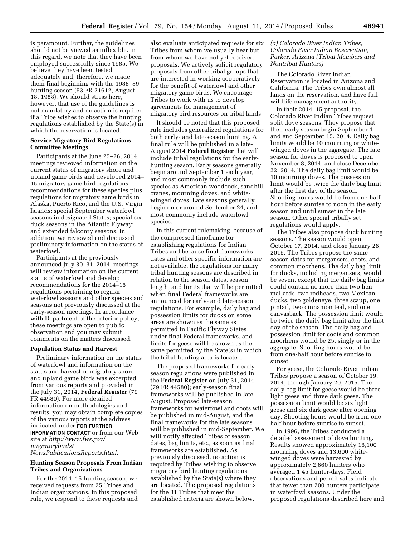is paramount. Further, the guidelines should not be viewed as inflexible. In this regard, we note that they have been employed successfully since 1985. We believe they have been tested adequately and, therefore, we made them final beginning with the 1988–89 hunting season (53 FR 31612, August 18, 1988). We should stress here, however, that use of the guidelines is not mandatory and no action is required if a Tribe wishes to observe the hunting regulations established by the State(s) in which the reservation is located.

#### **Service Migratory Bird Regulations Committee Meetings**

Participants at the June 25–26, 2014, meetings reviewed information on the current status of migratory shore and upland game birds and developed 2014– 15 migratory game bird regulations recommendations for these species plus regulations for migratory game birds in Alaska, Puerto Rico, and the U.S. Virgin Islands; special September waterfowl seasons in designated States; special sea duck seasons in the Atlantic Flyway; and extended falconry seasons. In addition, we reviewed and discussed preliminary information on the status of waterfowl.

Participants at the previously announced July 30–31, 2014, meetings will review information on the current status of waterfowl and develop recommendations for the 2014–15 regulations pertaining to regular waterfowl seasons and other species and seasons not previously discussed at the early-season meetings. In accordance with Department of the Interior policy, these meetings are open to public observation and you may submit comments on the matters discussed.

#### **Population Status and Harvest**

Preliminary information on the status of waterfowl and information on the status and harvest of migratory shore and upland game birds was excerpted from various reports and provided in the July 31, 2014, **Federal Register** (79 FR 44580). For more detailed information on methodologies and results, you may obtain complete copies of the various reports at the address indicated under **FOR FURTHER INFORMATION CONTACT** or from our Web

site at *[http://www.fws.gov/](http://www.fws.gov/migratorybirds/NewsPublicationsReports.html) [migratorybirds/](http://www.fws.gov/migratorybirds/NewsPublicationsReports.html)*

*[NewsPublicationsReports.html.](http://www.fws.gov/migratorybirds/NewsPublicationsReports.html)* 

# **Hunting Season Proposals From Indian Tribes and Organizations**

For the 2014–15 hunting season, we received requests from 25 Tribes and Indian organizations. In this proposed rule, we respond to these requests and also evaluate anticipated requests for six Tribes from whom we usually hear but from whom we have not yet received proposals. We actively solicit regulatory proposals from other tribal groups that are interested in working cooperatively for the benefit of waterfowl and other migratory game birds. We encourage Tribes to work with us to develop agreements for management of migratory bird resources on tribal lands.

It should be noted that this proposed rule includes generalized regulations for both early- and late-season hunting. A final rule will be published in a late-August 2014 **Federal Register** that will include tribal regulations for the earlyhunting season. Early seasons generally begin around September 1 each year, and most commonly include such species as American woodcock, sandhill cranes, mourning doves, and whitewinged doves. Late seasons generally begin on or around September 24, and most commonly include waterfowl species.

In this current rulemaking, because of the compressed timeframe for establishing regulations for Indian Tribes and because final frameworks dates and other specific information are not available, the regulations for many tribal hunting seasons are described in relation to the season dates, season length, and limits that will be permitted when final Federal frameworks are announced for early- and late-season regulations. For example, daily bag and possession limits for ducks on some areas are shown as the same as permitted in Pacific Flyway States under final Federal frameworks, and limits for geese will be shown as the same permitted by the State(s) in which the tribal hunting area is located.

The proposed frameworks for earlyseason regulations were published in the **Federal Register** on July 31, 2014 (79 FR 44580); early-season final frameworks will be published in late August. Proposed late-season frameworks for waterfowl and coots will be published in mid-August, and the final frameworks for the late seasons will be published in mid-September. We will notify affected Tribes of season dates, bag limits, etc., as soon as final frameworks are established. As previously discussed, no action is required by Tribes wishing to observe migratory bird hunting regulations established by the State(s) where they are located. The proposed regulations for the 31 Tribes that meet the established criteria are shown below.

# *(a) Colorado River Indian Tribes, Colorado River Indian Reservation, Parker, Arizona (Tribal Members and Nontribal Hunters)*

The Colorado River Indian Reservation is located in Arizona and California. The Tribes own almost all lands on the reservation, and have full wildlife management authority.

In their 2014–15 proposal, the Colorado River Indian Tribes request split dove seasons. They propose that their early season begin September 1 and end September 15, 2014. Daily bag limits would be 10 mourning or whitewinged doves in the aggregate. The late season for doves is proposed to open November 8, 2014, and close December 22, 2014. The daily bag limit would be 10 mourning doves. The possession limit would be twice the daily bag limit after the first day of the season. Shooting hours would be from one-half hour before sunrise to noon in the early season and until sunset in the late season. Other special tribally set regulations would apply.

The Tribes also propose duck hunting seasons. The season would open October 17, 2014, and close January 26, 2015. The Tribes propose the same season dates for mergansers, coots, and common moorhens. The daily bag limit for ducks, including mergansers, would be seven, except that the daily bag limits could contain no more than two hen mallards, two redheads, two Mexican ducks, two goldeneye, three scaup, one pintail, two cinnamon teal, and one canvasback. The possession limit would be twice the daily bag limit after the first day of the season. The daily bag and possession limit for coots and common moorhens would be 25, singly or in the aggregate. Shooting hours would be from one-half hour before sunrise to sunset.

For geese, the Colorado River Indian Tribes propose a season of October 19, 2014, through January 20, 2015. The daily bag limit for geese would be three light geese and three dark geese. The possession limit would be six light geese and six dark geese after opening day. Shooting hours would be from onehalf hour before sunrise to sunset.

In 1996, the Tribes conducted a detailed assessment of dove hunting. Results showed approximately 16,100 mourning doves and 13,600 whitewinged doves were harvested by approximately 2,660 hunters who averaged 1.45 hunter-days. Field observations and permit sales indicate that fewer than 200 hunters participate in waterfowl seasons. Under the proposed regulations described here and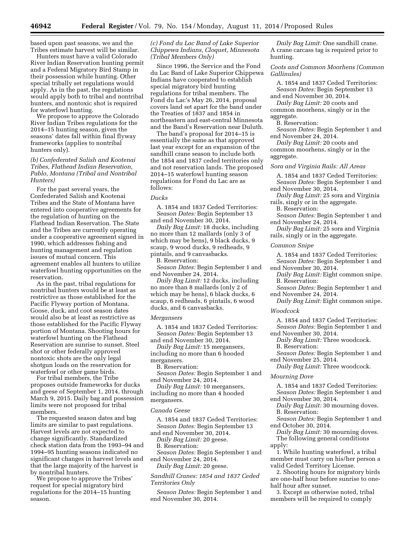based upon past seasons, we and the Tribes estimate harvest will be similar.

Hunters must have a valid Colorado River Indian Reservation hunting permit and a Federal Migratory Bird Stamp in their possession while hunting. Other special tribally set regulations would apply. As in the past, the regulations would apply both to tribal and nontribal hunters, and nontoxic shot is required for waterfowl hunting.

We propose to approve the Colorado River Indian Tribes regulations for the 2014–15 hunting season, given the seasons' dates fall within final flyway frameworks (applies to nontribal hunters only).

# *(b) Confederated Salish and Kootenai Tribes, Flathead Indian Reservation, Pablo, Montana (Tribal and Nontribal Hunters)*

For the past several years, the Confederated Salish and Kootenai Tribes and the State of Montana have entered into cooperative agreements for the regulation of hunting on the Flathead Indian Reservation. The State and the Tribes are currently operating under a cooperative agreement signed in 1990, which addresses fishing and hunting management and regulation issues of mutual concern. This agreement enables all hunters to utilize waterfowl hunting opportunities on the reservation.

As in the past, tribal regulations for nontribal hunters would be at least as restrictive as those established for the Pacific Flyway portion of Montana. Goose, duck, and coot season dates would also be at least as restrictive as those established for the Pacific Flyway portion of Montana. Shooting hours for waterfowl hunting on the Flathead Reservation are sunrise to sunset. Steel shot or other federally approved nontoxic shots are the only legal shotgun loads on the reservation for waterfowl or other game birds.

For tribal members, the Tribe proposes outside frameworks for ducks and geese of September 1, 2014, through March 9, 2015. Daily bag and possession limits were not proposed for tribal members.

The requested season dates and bag limits are similar to past regulations. Harvest levels are not expected to change significantly. Standardized check station data from the 1993–94 and 1994–95 hunting seasons indicated no significant changes in harvest levels and that the large majority of the harvest is by nontribal hunters.

We propose to approve the Tribes' request for special migratory bird regulations for the 2014–15 hunting season.

# *(c) Fond du Lac Band of Lake Superior Chippewa Indians, Cloquet, Minnesota (Tribal Members Only)*

Since 1996, the Service and the Fond du Lac Band of Lake Superior Chippewa Indians have cooperated to establish special migratory bird hunting regulations for tribal members. The Fond du Lac's May 26, 2014, proposal covers land set apart for the band under the Treaties of 1837 and 1854 in northeastern and east-central Minnesota and the Band's Reservation near Duluth.

The band's proposal for 2014–15 is essentially the same as that approved last year except for an expansion of the sandhill crane season to include both the 1854 and 1837 ceded territories only and not reservation lands. The proposed 2014–15 waterfowl hunting season regulations for Fond du Lac are as follows:

#### *Ducks*

A. 1854 and 1837 Ceded Territories: *Season Dates:* Begin September 13 and end November 30, 2014.

*Daily Bag Limit:* 18 ducks, including no more than 12 mallards (only 3 of which may be hens), 9 black ducks, 9 scaup, 9 wood ducks, 9 redheads, 9 pintails, and 9 canvasbacks.

B. Reservation:

*Season Dates:* Begin September 1 and end November 24, 2014.

*Daily Bag Limit:* 12 ducks, including no more than 8 mallards (only 2 of which may be hens), 6 black ducks, 6 scaup, 6 redheads, 6 pintails, 6 wood ducks, and 6 canvasbacks.

#### *Mergansers*

A. 1854 and 1837 Ceded Territories: *Season Dates:* Begin September 13 and end November 30, 2014.

*Daily Bag Limit:* 15 mergansers, including no more than 6 hooded mergansers.

B. Reservation:

*Season Dates:* Begin September 1 and end November 24, 2014.

*Daily Bag Limit:* 10 mergansers, including no more than 4 hooded mergansers.

#### *Canada Geese*

A. 1854 and 1837 Ceded Territories: *Season Dates:* Begin September 13

and end November 30, 2014.

*Daily Bag Limit:* 20 geese. B. Reservation:

*Season Dates:* Begin September 1 and end November 24, 2014.

*Daily Bag Limit:* 20 geese.

*Sandhill Cranes: 1854 and 1837 Ceded Territories Only* 

*Season Dates:* Begin September 1 and end November 30, 2014.

*Daily Bag Limit:* One sandhill crane. A crane carcass tag is required prior to hunting.

*Coots and Common Moorhens (Common Gallinules)* 

A. 1854 and 1837 Ceded Territories: *Season Dates:* Begin September 13

and end November 30, 2014. *Daily Bag Limit:* 20 coots and

common moorhens, singly or in the aggregate.

B. Reservation:

*Season Dates:* Begin September 1 and end November 24, 2014.

*Daily Bag Limit:* 20 coots and common moorhens, singly or in the aggregate.

#### *Sora and Virginia Rails: All Areas*

A. 1854 and 1837 Ceded Territories: *Season Dates:* Begin September 1 and end November 30, 2014.

*Daily Bag Limit:* 25 sora and Virginia rails, singly or in the aggregate.

B. Reservation:

*Season Dates:* Begin September 1 and end November 24, 2014.

*Daily Bag Limit:* 25 sora and Virginia rails, singly or in the aggregate.

#### *Common Snipe*

A. 1854 and 1837 Ceded Territories:

*Season Dates:* Begin September 1 and end November 30, 2014.

*Daily Bag Limit:* Eight common snipe. B. Reservation:

*Season Dates:* Begin September 1 and end November 24, 2014.

*Daily Bag Limit:* Eight common snipe.

# *Woodcock*

A. 1854 and 1837 Ceded Territories:

*Season Dates:* Begin September 1 and end November 30, 2014.

*Daily Bag Limit:* Three woodcock.

B. Reservation:

*Season Dates:* Begin September 1 and end November 25, 2014.

*Daily Bag Limit:* Three woodcock.

#### *Mourning Dove*

A. 1854 and 1837 Ceded Territories: *Season Dates:* Begin September 1 and end November 30, 2014.

*Daily Bag Limit:* 30 mourning doves. B. Reservation:

*Season Dates:* Begin September 1 and end October 30, 2014.

*Daily Bag Limit:* 30 mourning doves. The following general conditions

apply:

1. While hunting waterfowl, a tribal member must carry on his/her person a valid Ceded Territory License.

2. Shooting hours for migratory birds are one-half hour before sunrise to onehalf hour after sunset.

3. Except as otherwise noted, tribal members will be required to comply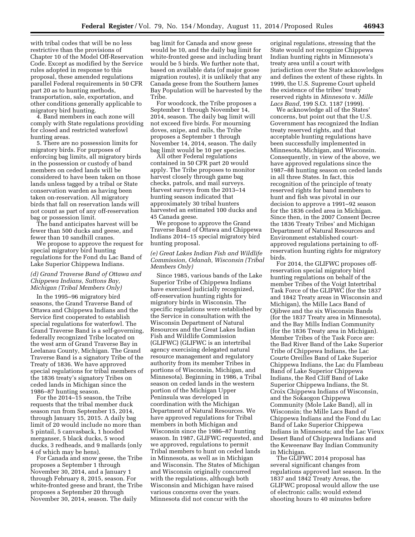with tribal codes that will be no less restrictive than the provisions of Chapter 10 of the Model Off-Reservation Code. Except as modified by the Service rules adopted in response to this proposal, these amended regulations parallel Federal requirements in 50 CFR part 20 as to hunting methods, transportation, sale, exportation, and other conditions generally applicable to migratory bird hunting.

4. Band members in each zone will comply with State regulations providing for closed and restricted waterfowl hunting areas.

5. There are no possession limits for migratory birds. For purposes of enforcing bag limits, all migratory birds in the possession or custody of band members on ceded lands will be considered to have been taken on those lands unless tagged by a tribal or State conservation warden as having been taken on-reservation. All migratory birds that fall on reservation lands will not count as part of any off-reservation bag or possession limit.

The band anticipates harvest will be fewer than 500 ducks and geese, and fewer than 10 sandhill cranes.

We propose to approve the request for special migratory bird hunting regulations for the Fond du Lac Band of Lake Superior Chippewa Indians.

# *(d) Grand Traverse Band of Ottawa and Chippewa Indians, Suttons Bay, Michigan (Tribal Members Only)*

In the 1995–96 migratory bird seasons, the Grand Traverse Band of Ottawa and Chippewa Indians and the Service first cooperated to establish special regulations for waterfowl. The Grand Traverse Band is a self-governing, federally recognized Tribe located on the west arm of Grand Traverse Bay in Leelanau County, Michigan. The Grand Traverse Band is a signatory Tribe of the Treaty of 1836. We have approved special regulations for tribal members of the 1836 treaty's signatory Tribes on ceded lands in Michigan since the 1986–87 hunting season.

For the 2014–15 season, the Tribe requests that the tribal member duck season run from September 15, 2014, through January 15, 2015. A daily bag limit of 20 would include no more than 5 pintail, 5 canvasback, 1 hooded merganser, 5 black ducks, 5 wood ducks, 3 redheads, and 9 mallards (only 4 of which may be hens).

For Canada and snow geese, the Tribe proposes a September 1 through November 30, 2014, and a January 1 through February 8, 2015, season. For white-fronted geese and brant, the Tribe proposes a September 20 through November 30, 2014, season. The daily

bag limit for Canada and snow geese would be 10, and the daily bag limit for white-fronted geese and including brant would be 5 birds. We further note that, based on available data (of major goose migration routes), it is unlikely that any Canada geese from the Southern James Bay Population will be harvested by the Tribe.

For woodcock, the Tribe proposes a September 1 through November 14, 2014, season. The daily bag limit will not exceed five birds. For mourning doves, snipe, and rails, the Tribe proposes a September 1 through November 14, 2014, season. The daily bag limit would be 10 per species.

All other Federal regulations contained in 50 CFR part 20 would apply. The Tribe proposes to monitor harvest closely through game bag checks, patrols, and mail surveys. Harvest surveys from the 2013–14 hunting season indicated that approximately 30 tribal hunters harvested an estimated 100 ducks and 45 Canada geese.

We propose to approve the Grand Traverse Band of Ottawa and Chippewa Indians 2014–15 special migratory bird hunting proposal.

# *(e) Great Lakes Indian Fish and Wildlife Commission, Odanah, Wisconsin (Tribal Members Only)*

Since 1985, various bands of the Lake Superior Tribe of Chippewa Indians have exercised judicially recognized, off-reservation hunting rights for migratory birds in Wisconsin. The specific regulations were established by the Service in consultation with the Wisconsin Department of Natural Resources and the Great Lakes Indian Fish and Wildlife Commission (GLIFWC) (GLIFWC is an intertribal agency exercising delegated natural resource management and regulatory authority from its member Tribes in portions of Wisconsin, Michigan, and Minnesota). Beginning in 1986, a Tribal season on ceded lands in the western portion of the Michigan Upper Peninsula was developed in coordination with the Michigan Department of Natural Resources. We have approved regulations for Tribal members in both Michigan and Wisconsin since the 1986–87 hunting season. In 1987, GLIFWC requested, and we approved, regulations to permit Tribal members to hunt on ceded lands in Minnesota, as well as in Michigan and Wisconsin. The States of Michigan and Wisconsin originally concurred with the regulations, although both Wisconsin and Michigan have raised various concerns over the years. Minnesota did not concur with the

original regulations, stressing that the State would not recognize Chippewa Indian hunting rights in Minnesota's treaty area until a court with jurisdiction over the State acknowledges and defines the extent of these rights. In 1999, the U.S. Supreme Court upheld the existence of the tribes' treaty reserved rights in *Minnesota* v. *Mille Lacs Band,* 199 S.Ct. 1187 (1999).

We acknowledge all of the States' concerns, but point out that the U.S. Government has recognized the Indian treaty reserved rights, and that acceptable hunting regulations have been successfully implemented in Minnesota, Michigan, and Wisconsin. Consequently, in view of the above, we have approved regulations since the 1987–88 hunting season on ceded lands in all three States. In fact, this recognition of the principle of treaty reserved rights for band members to hunt and fish was pivotal in our decision to approve a 1991–92 season for the 1836 ceded area in Michigan. Since then, in the 2007 Consent Decree the 1836 Treaty Tribes' and Michigan Department of Natural Resources and Environment established courtapproved regulations pertaining to offreservation hunting rights for migratory birds.

For 2014, the GLIFWC proposes offreservation special migratory bird hunting regulations on behalf of the member Tribes of the Voigt Intertribal Task Force of the GLIFWC (for the 1837 and 1842 Treaty areas in Wisconsin and Michigan), the Mille Lacs Band of Ojibwe and the six Wisconsin Bands (for the 1837 Treaty area in Minnesota), and the Bay Mills Indian Community (for the 1836 Treaty area in Michigan). Member Tribes of the Task Force are: the Bad River Band of the Lake Superior Tribe of Chippewa Indians, the Lac Courte Oreilles Band of Lake Superior Chippewa Indians, the Lac du Flambeau Band of Lake Superior Chippewa Indians, the Red Cliff Band of Lake Superior Chippewa Indians, the St. Croix Chippewa Indians of Wisconsin, and the Sokaogon Chippewa Community (Mole Lake Band), all in Wisconsin; the Mille Lacs Band of Chippewa Indians and the Fond du Lac Band of Lake Superior Chippewa Indians in Minnesota; and the Lac Vieux Desert Band of Chippewa Indians and the Keweenaw Bay Indian Community in Michigan.

The GLIFWC 2014 proposal has several significant changes from regulations approved last season. In the 1837 and 1842 Treaty Areas, the GLIFWC proposal would allow the use of electronic calls; would extend shooting hours to 40 minutes before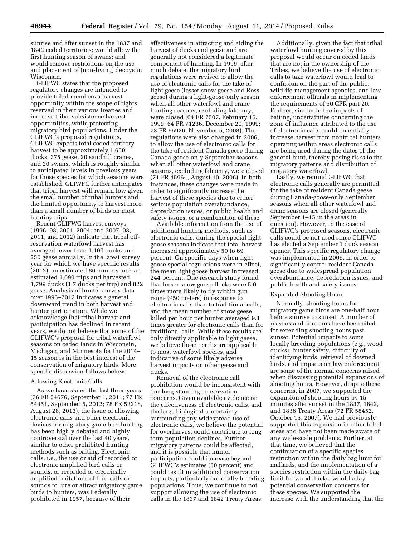sunrise and after sunset in the 1837 and 1842 ceded territories; would allow the first hunting season of swans; and would remove restrictions on the use and placement of (non-living) decoys in Wisconsin.

GLIFWC states that the proposed regulatory changes are intended to provide tribal members a harvest opportunity within the scope of rights reserved in their various treaties and increase tribal subsistence harvest opportunities, while protecting migratory bird populations. Under the GLIFWC's proposed regulations, GLIFWC expects total ceded territory harvest to be approximately 1,650 ducks, 375 geese, 20 sandhill cranes, and 20 swans, which is roughly similar to anticipated levels in previous years for those species for which seasons were established. GLIWFC further anticipates that tribal harvest will remain low given the small number of tribal hunters and the limited opportunity to harvest more than a small number of birds on most hunting trips.

Recent GLIFWC harvest surveys (1996–98, 2001, 2004, and 2007–08, 2011, and 2012) indicate that tribal offreservation waterfowl harvest has averaged fewer than 1,100 ducks and 250 geese annually. In the latest survey year for which we have specific results (2012), an estimated 86 hunters took an estimated 1,090 trips and harvested 1,799 ducks (1.7 ducks per trip) and 822 geese. Analysis of hunter survey data over 1996–2012 indicates a general downward trend in both harvest and hunter participation. While we acknowledge that tribal harvest and participation has declined in recent years, we do not believe that some of the GLIFWC's proposal for tribal waterfowl seasons on ceded lands in Wisconsin, Michigan, and Minnesota for the 2014– 15 season is in the best interest of the conservation of migratory birds. More specific discussion follows below.

#### Allowing Electronic Calls

As we have stated the last three years (76 FR 54676, September 1, 2011; 77 FR 54451, September 5, 2012; 78 FR 53218, August 28, 2013), the issue of allowing electronic calls and other electronic devices for migratory game bird hunting has been highly debated and highly controversial over the last 40 years, similar to other prohibited hunting methods such as baiting. Electronic calls, i.e., the use or aid of recorded or electronic amplified bird calls or sounds, or recorded or electrically amplified imitations of bird calls or sounds to lure or attract migratory game birds to hunters, was Federally prohibited in 1957, because of their

effectiveness in attracting and aiding the harvest of ducks and geese and are generally not considered a legitimate component of hunting. In 1999, after much debate, the migratory bird regulations were revised to allow the use of electronic calls for the take of light geese (lesser snow geese and Ross geese) during a light-goose-only season when all other waterfowl and crane hunting seasons, excluding falconry, were closed (64 FR 7507, February 16, 1999; 64 FR 71236, December 20, 1999; 73 FR 65926, November 5, 2008). The regulations were also changed in 2006, to allow the use of electronic calls for the take of resident Canada geese during Canada-goose-only September seasons when all other waterfowl and crane seasons, excluding falconry, were closed (71 FR 45964, August 10, 2006). In both instances, these changes were made in order to significantly increase the harvest of these species due to either serious population overabundance, depredation issues, or public health and safety issues, or a combination of these.

Available information from the use of additional hunting methods, such as electronic calls, during the special lightgoose seasons indicate that total harvest increased approximately 50 to 69 percent. On specific days when lightgoose special regulations were in effect, the mean light goose harvest increased 244 percent. One research study found that lesser snow goose flocks were 5.0 times more likely to fly within gun range (≤50 meters) in response to electronic calls than to traditional calls, and the mean number of snow geese killed per hour per hunter averaged 9.1 times greater for electronic calls than for traditional calls. While these results are only directly applicable to light geese, we believe these results are applicable to most waterfowl species, and indicative of some likely adverse harvest impacts on other geese and ducks.

Removal of the electronic call prohibition would be inconsistent with our long-standing conservation concerns. Given available evidence on the effectiveness of electronic calls, and the large biological uncertainty surrounding any widespread use of electronic calls, we believe the potential for overharvest could contribute to longterm population declines. Further, migratory patterns could be affected, and it is possible that hunter participation could increase beyond GLIFWC's estimates (50 percent) and could result in additional conservation impacts, particularly on locally breeding populations. Thus, we continue to not support allowing the use of electronic calls in the 1837 and 1842 Treaty Areas.

Additionally, given the fact that tribal waterfowl hunting covered by this proposal would occur on ceded lands that are not in the ownership of the Tribes, we believe the use of electronic calls to take waterfowl would lead to confusion on the part of the public, wildlife-management agencies, and law enforcement officials in implementing the requirements of 50 CFR part 20. Further, similar to the impacts of baiting, uncertainties concerning the zone of influence attributed to the use of electronic calls could potentially increase harvest from nontribal hunters operating within areas electronic calls are being used during the dates of the general hunt, thereby posing risks to the migratory patterns and distribution of migratory waterfowl.

Lastly, we remind GLIFWC that electronic calls generally are permitted for the take of resident Canada geese during Canada-goose-only September seasons when all other waterfowl and crane seasons are closed (generally September 1–15 in the areas in question). However, in the case of GLIFWC's proposed seasons, electronic calls could be not used since GLIFWC has elected a September 1 duck season opener. This specific regulatory change was implemented in 2006, in order to significantly control resident Canada geese due to widespread population overabundance, depredation issues, and public health and safety issues.

#### Expanded Shooting Hours

Normally, shooting hours for migratory game birds are one-half hour before sunrise to sunset. A number of reasons and concerns have been cited for extending shooting hours past sunset. Potential impacts to some locally breeding populations (e.g., wood ducks), hunter safety, difficulty of identifying birds, retrieval of downed birds, and impacts on law enforcement are some of the normal concerns raised when discussing potential expansions of shooting hours. However, despite these concerns, in 2007, we supported the expansion of shooting hours by 15 minutes after sunset in the 1837, 1842, and 1836 Treaty Areas (72 FR 58452, October 15, 2007). We had previously supported this expansion in other tribal areas and have not been made aware of any wide-scale problems. Further, at that time, we believed that the continuation of a specific species restriction within the daily bag limit for mallards, and the implementation of a species restriction within the daily bag limit for wood ducks, would allay potential conservation concerns for these species. We supported the increase with the understanding that the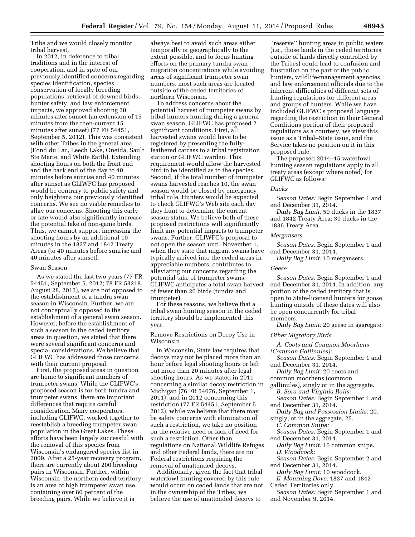Tribe and we would closely monitor tribal harvest.

In 2012, in deference to tribal traditions and in the interest of cooperation, and in spite of our previously identified concerns regarding species identification, species conservation of locally breeding populations, retrieval of downed birds, hunter safety, and law enforcement impacts, we approved shooting 30 minutes after sunset (an extension of 15 minutes from the then-current 15 minutes after sunset) (77 FR 54451, September 5, 2012). This was consistent with other Tribes in the general area (Fond du Lac, Leech Lake, Oneida, Sault Ste Marie, and White Earth). Extending shooting hours on both the front end and the back end of the day to 40 minutes before sunrise and 40 minutes after sunset as GLIWFC has proposed would be contrary to public safety and only heightens our previously identified concerns. We see no viable remedies to allay our concerns. Shooting this early or late would also significantly increase the potential take of non-game birds. Thus, we cannot support increasing the shooting hours by an additional 10 minutes in the 1837 and 1842 Treaty Areas (to 40 minutes before sunrise and 40 minutes after sunset).

#### Swan Season

As we stated the last two years (77 FR 54451, September 5, 2012; 78 FR 53218, August 28, 2013), we are not opposed to the establishment of a tundra swan season in Wisconsin. Further, we are not conceptually opposed to the establishment of a general swan season. However, before the establishment of such a season in the ceded territory areas in question, we stated that there were several significant concerns and special considerations. We believe that GLIFWC has addressed those concerns with their current proposal.

First, the proposed areas in question are home to significant numbers of trumpeter swans. While the GLIFWC's proposed season is for both tundra and trumpeter swans, there are important differences that require careful consideration. Many cooperators, including GLIFWC, worked together to reestablish a breeding trumpeter swan population in the Great Lakes. These efforts have been largely successful with the removal of this species from Wisconsin's endangered species list in 2009. After a 25-year recovery program, there are currently about 200 breeding pairs in Wisconsin. Further, within Wisconsin, the northern ceded territory is an area of high trumpeter swan use containing over 80 percent of the breeding pairs. While we believe it is

always best to avoid such areas either temporally or geographically to the extent possible, and to focus hunting efforts on the primary tundra swan migration concentrations while avoiding areas of significant trumpeter swan numbers, most such areas are located outside of the ceded territories of northern Wisconsin.

To address concerns about the potential harvest of trumpeter swans by tribal hunters hunting during a general swan season, GLIFWC has proposed 2 significant conditions. First, all harvested swans would have to be registered by presenting the fullyfeathered carcass to a tribal registration station or GLIFWC warden. This requirement would allow the harvested bird to be identified as to the species. Second, if the total number of trumpeter swans harvested reaches 10, the swan season would be closed by emergency tribal rule. Hunters would be expected to check GLIFWC's Web site each day they hunt to determine the current season status. We believe both of these proposed restrictions will significantly limit any potential impacts to trumpeter swans. Further, GLIWFC's proposal to not open the season until November 1, when they state that migrant swans have typically arrived into the ceded areas in appreciable numbers, contributes to alleviating our concerns regarding the potential take of trumpeter swans. GLIFWC anticipates a total swan harvest of fewer than 20 birds (tundra and trumpeter).

For these reasons, we believe that a tribal swan hunting season in the ceded territory should be implemented this year.

Remove Restrictions on Decoy Use in Wisconsin

In Wisconsin, State law requires that decoys may not be placed more than an hour before legal shooting hours or left out more than 20 minutes after legal shooting hours. As we stated in 2011 concerning a similar decoy restriction in Michigan (76 FR 54676, September 1, 2011), and in 2012 concerning this restriction (77 FR 54451, September 5, 2012), while we believe that there may be safety concerns with elimination of such a restriction, we take no position on the relative need or lack of need for such a restriction. Other than regulations on National Wildlife Refuges and other Federal lands, there are no Federal restrictions requiring the removal of unattended decoys.

Additionally, given the fact that tribal waterfowl hunting covered by this rule would occur on ceded lands that are not in the ownership of the Tribes, we believe the use of unattended decoys to

''reserve'' hunting areas in public waters (i.e., those lands in the ceded territories outside of lands directly controlled by the Tribes) could lead to confusion and frustration on the part of the public, hunters, wildlife-management agencies, and law enforcement officials due to the inherent difficulties of different sets of hunting regulations for different areas and groups of hunters. While we have included GLIFWC's proposed language regarding the restriction in their General Conditions portion of their proposed regulations as a courtesy, we view this issue as a Tribal–State issue, and the Service takes no position on it in this proposed rule.

The proposed 2014–15 waterfowl hunting season regulations apply to all treaty areas (except where noted) for GLIFWC as follows:

# *Ducks*

*Season Dates:* Begin September 1 and end December 31, 2014.

*Daily Bag Limit:* 50 ducks in the 1837 and 1842 Treaty Area; 30 ducks in the 1836 Treaty Area.

#### *Mergansers*

*Season Dates:* Begin September 1 and end December 31, 2014.

*Daily Bag Limit:* 10 mergansers.

#### *Geese*

*Season Dates:* Begin September 1 and end December 31, 2014. In addition, any portion of the ceded territory that is open to State-licensed hunters for goose hunting outside of these dates will also be open concurrently for tribal members.

*Daily Bag Limit:* 20 geese in aggregate.

# *Other Migratory Birds*

*A. Coots and Common Moorhens (Common Gallinules):* 

*Season Dates:* Begin September 1 and end December 31, 2014.

*Daily Bag Limit:* 20 coots and common moorhens (common

gallinules), singly or in the aggregate. *B. Sora and Virginia Rails:* 

*Season Dates:* Begin September 1 and end December 31, 2014.

*Daily Bag and Possession Limits:* 20,

singly, or in the aggregate, 25.

*C. Common Snipe:* 

*Season Dates:* Begin September 1 and end December 31, 2014.

*Daily Bag Limit:* 16 common snipe. *D. Woodcock:* 

*Season Dates:* Begin September 2 and end December 31, 2014.

*Daily Bag Limit:* 10 woodcock.

*E. Mourning Dove:* 1837 and 1842 Ceded Territories only.

*Season Dates:* Begin September 1 and end November 9, 2014.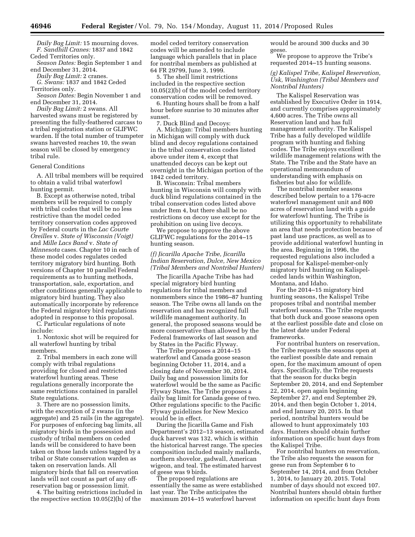*Daily Bag Limit:* 15 mourning doves. *F. Sandhill Cranes:* 1837 and 1842 Ceded Territories only.

*Season Dates:* Begin September 1 and end December 31, 2014.

*Daily Bag Limit:* 2 cranes.

*G. Swans:* 1837 and 1842 Ceded Territories only.

*Season Dates:* Begin November 1 and end December 31, 2014.

*Daily Bag Limit:* 2 swans. All harvested swans must be registered by presenting the fully-feathered carcass to a tribal registration station or GLIFWC warden. If the total number of trumpeter swans harvested reaches 10, the swan season will be closed by emergency tribal rule.

#### General Conditions

A. All tribal members will be required to obtain a valid tribal waterfowl hunting permit.

B. Except as otherwise noted, tribal members will be required to comply with tribal codes that will be no less restrictive than the model ceded territory conservation codes approved by Federal courts in the *Lac Courte Oreilles* v. *State of Wisconsin (Voigt)*  and *Mille Lacs Band* v. *State of Minnesota* cases. Chapter 10 in each of these model codes regulates ceded territory migratory bird hunting. Both versions of Chapter 10 parallel Federal requirements as to hunting methods, transportation, sale, exportation, and other conditions generally applicable to migratory bird hunting. They also automatically incorporate by reference the Federal migratory bird regulations adopted in response to this proposal.

C. Particular regulations of note include:

1. Nontoxic shot will be required for all waterfowl hunting by tribal members.

2. Tribal members in each zone will comply with tribal regulations providing for closed and restricted waterfowl hunting areas. These regulations generally incorporate the same restrictions contained in parallel State regulations.

3. There are no possession limits, with the exception of 2 swans (in the aggregate) and 25 rails (in the aggregate). For purposes of enforcing bag limits, all migratory birds in the possession and custody of tribal members on ceded lands will be considered to have been taken on those lands unless tagged by a tribal or State conservation warden as taken on reservation lands. All migratory birds that fall on reservation lands will not count as part of any offreservation bag or possession limit.

4. The baiting restrictions included in the respective section 10.05(2)(h) of the

model ceded territory conservation codes will be amended to include language which parallels that in place for nontribal members as published at 64 FR 29799, June 3, 1999.

5. The shell limit restrictions included in the respective section 10.05(2)(b) of the model ceded territory conservation codes will be removed.

6. Hunting hours shall be from a half hour before sunrise to 30 minutes after sunset.

7. Duck Blind and Decoys:

A. Michigan: Tribal members hunting in Michigan will comply with duck blind and decoy regulations contained in the tribal conservation codes listed above under item 4, except that unattended decoys can be kept out overnight in the Michigan portion of the 1842 ceded territory.

B. Wisconsin: Tribal members hunting in Wisconsin will comply with duck blind regulations contained in the tribal conservation codes listed above under Item 4, but there shall be no restrictions on decoy use except for the prohibition on using live decoys.

We propose to approve the above GLIFWC regulations for the 2014–15 hunting season.

#### *(f) Jicarilla Apache Tribe, Jicarilla Indian Reservation, Dulce, New Mexico (Tribal Members and Nontribal Hunters)*

The Jicarilla Apache Tribe has had special migratory bird hunting regulations for tribal members and nonmembers since the 1986–87 hunting season. The Tribe owns all lands on the reservation and has recognized full wildlife management authority. In general, the proposed seasons would be more conservative than allowed by the Federal frameworks of last season and by States in the Pacific Flyway.

The Tribe proposes a 2014–15 waterfowl and Canada goose season beginning October 11, 2014, and a closing date of November 30, 2014. Daily bag and possession limits for waterfowl would be the same as Pacific Flyway States. The Tribe proposes a daily bag limit for Canada geese of two. Other regulations specific to the Pacific Flyway guidelines for New Mexico would be in effect.

During the Jicarilla Game and Fish Department's 2012–13 season, estimated duck harvest was 132, which is within the historical harvest range. The species composition included mainly mallards, northern shovelor, gadwall, American wigeon, and teal. The estimated harvest of geese was 9 birds.

The proposed regulations are essentially the same as were established last year. The Tribe anticipates the maximum 2014–15 waterfowl harvest

would be around 300 ducks and 30 geese.

We propose to approve the Tribe's requested 2014–15 hunting seasons.

*(g) Kalispel Tribe, Kalispel Reservation, Usk, Washington (Tribal Members and Nontribal Hunters)* 

The Kalispel Reservation was established by Executive Order in 1914, and currently comprises approximately 4,600 acres. The Tribe owns all Reservation land and has full management authority. The Kalispel Tribe has a fully developed wildlife program with hunting and fishing codes. The Tribe enjoys excellent wildlife management relations with the State. The Tribe and the State have an operational memorandum of understanding with emphasis on fisheries but also for wildlife.

The nontribal member seasons described below pertain to a 176-acre waterfowl management unit and 800 acres of reservation land with a guide for waterfowl hunting. The Tribe is utilizing this opportunity to rehabilitate an area that needs protection because of past land use practices, as well as to provide additional waterfowl hunting in the area. Beginning in 1996, the requested regulations also included a proposal for Kalispel-member-only migratory bird hunting on Kalispelceded lands within Washington, Montana, and Idaho.

For the 2014–15 migratory bird hunting seasons, the Kalispel Tribe proposes tribal and nontribal member waterfowl seasons. The Tribe requests that both duck and goose seasons open at the earliest possible date and close on the latest date under Federal frameworks.

For nontribal hunters on reservation, the Tribe requests the seasons open at the earliest possible date and remain open, for the maximum amount of open days. Specifically, the Tribe requests that the season for ducks begin September 20, 2014, and end September 22, 2014, open again beginning September 27, and end September 29, 2014, and then begin October 1, 2014, and end January 20, 2015. In that period, nontribal hunters would be allowed to hunt approximately 103 days. Hunters should obtain further information on specific hunt days from the Kalispel Tribe.

For nontribal hunters on reservation, the Tribe also requests the season for geese run from September 6 to September 14, 2014, and from October 1, 2014, to January 20, 2015. Total number of days should not exceed 107. Nontribal hunters should obtain further information on specific hunt days from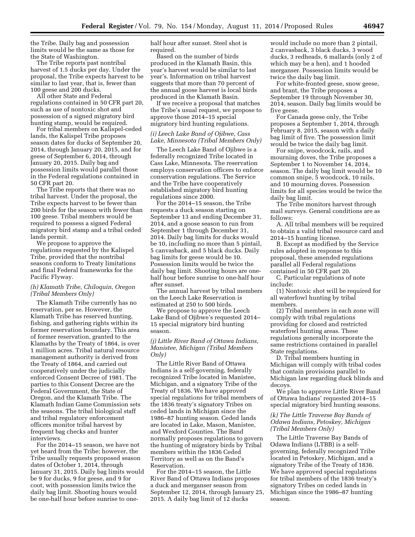the Tribe. Daily bag and possession limits would be the same as those for the State of Washington.

The Tribe reports past nontribal harvest of 1.5 ducks per day. Under the proposal, the Tribe expects harvest to be similar to last year, that is, fewer than 100 geese and 200 ducks.

All other State and Federal regulations contained in 50 CFR part 20, such as use of nontoxic shot and possession of a signed migratory bird hunting stamp, would be required.

For tribal members on Kalispel-ceded lands, the Kalispel Tribe proposes season dates for ducks of September 20, 2014, through January 20, 2015, and for geese of September 6, 2014, through January 20, 2015. Daily bag and possession limits would parallel those in the Federal regulations contained in 50 CFR part 20.

The Tribe reports that there was no tribal harvest. Under the proposal, the Tribe expects harvest to be fewer than 200 birds for the season with fewer than 100 geese. Tribal members would be required to possess a signed Federal migratory bird stamp and a tribal ceded lands permit.

We propose to approve the regulations requested by the Kalispel Tribe, provided that the nontribal seasons conform to Treaty limitations and final Federal frameworks for the Pacific Flyway.

#### *(h) Klamath Tribe, Chiloquin, Oregon (Tribal Members Only)*

The Klamath Tribe currently has no reservation, per se. However, the Klamath Tribe has reserved hunting, fishing, and gathering rights within its former reservation boundary. This area of former reservation, granted to the Klamaths by the Treaty of 1864, is over 1 million acres. Tribal natural resource management authority is derived from the Treaty of 1864, and carried out cooperatively under the judicially enforced Consent Decree of 1981. The parties to this Consent Decree are the Federal Government, the State of Oregon, and the Klamath Tribe. The Klamath Indian Game Commission sets the seasons. The tribal biological staff and tribal regulatory enforcement officers monitor tribal harvest by frequent bag checks and hunter interviews.

For the 2014–15 season, we have not yet heard from the Tribe; however, the Tribe usually requests proposed season dates of October 1, 2014, through January 31, 2015. Daily bag limits would be 9 for ducks, 9 for geese, and 9 for coot, with possession limits twice the daily bag limit. Shooting hours would be one-half hour before sunrise to onehalf hour after sunset. Steel shot is required.

Based on the number of birds produced in the Klamath Basin, this year's harvest would be similar to last year's. Information on tribal harvest suggests that more than 70 percent of the annual goose harvest is local birds produced in the Klamath Basin.

If we receive a proposal that matches the Tribe's usual request, we propose to approve those 2014–15 special migratory bird hunting regulations.

#### *(i) Leech Lake Band of Ojibwe, Cass Lake, Minnesota (Tribal Members Only)*

The Leech Lake Band of Ojibwe is a federally recognized Tribe located in Cass Lake, Minnesota. The reservation employs conservation officers to enforce conservation regulations. The Service and the Tribe have cooperatively established migratory bird hunting regulations since 2000.

For the 2014–15 season, the Tribe requests a duck season starting on September 13 and ending December 31, 2014, and a goose season to run from September 1 through December 31, 2014. Daily bag limits for ducks would be 10, including no more than 5 pintail, 5 canvasback, and 5 black ducks. Daily bag limits for geese would be 10. Possession limits would be twice the daily bag limit. Shooting hours are onehalf hour before sunrise to one-half hour after sunset.

The annual harvest by tribal members on the Leech Lake Reservation is estimated at 250 to 500 birds.

We propose to approve the Leech Lake Band of Ojibwe's requested 2014– 15 special migratory bird hunting season.

#### *(j) Little River Band of Ottawa Indians, Manistee, Michigan (Tribal Members Only)*

The Little River Band of Ottawa Indians is a self-governing, federally recognized Tribe located in Manistee, Michigan, and a signatory Tribe of the Treaty of 1836. We have approved special regulations for tribal members of the 1836 treaty's signatory Tribes on ceded lands in Michigan since the 1986–87 hunting season. Ceded lands are located in Lake, Mason, Manistee, and Wexford Counties. The Band normally proposes regulations to govern the hunting of migratory birds by Tribal members within the 1836 Ceded Territory as well as on the Band's Reservation.

For the 2014–15 season, the Little River Band of Ottawa Indians proposes a duck and merganser season from September 12, 2014, through January 25, 2015. A daily bag limit of 12 ducks

would include no more than 2 pintail, 2 canvasback, 3 black ducks, 3 wood ducks, 3 redheads, 6 mallards (only 2 of which may be a hen), and 1 hooded merganser. Possession limits would be twice the daily bag limit.

For white-fronted geese, snow geese, and brant, the Tribe proposes a September 19 through November 30, 2014, season. Daily bag limits would be five geese.

For Canada geese only, the Tribe proposes a September 1, 2014, through February 8, 2015, season with a daily bag limit of five. The possession limit would be twice the daily bag limit.

For snipe, woodcock, rails, and mourning doves, the Tribe proposes a September 1 to November 14, 2014, season. The daily bag limit would be 10 common snipe, 5 woodcock, 10 rails, and 10 mourning doves. Possession limits for all species would be twice the daily bag limit.

The Tribe monitors harvest through mail surveys. General conditions are as follows:

A. All tribal members will be required to obtain a valid tribal resource card and 2014–15 hunting license.

B. Except as modified by the Service rules adopted in response to this proposal, these amended regulations parallel all Federal regulations contained in 50 CFR part 20.

C. Particular regulations of note include:

(1) Nontoxic shot will be required for all waterfowl hunting by tribal members.

(2) Tribal members in each zone will comply with tribal regulations providing for closed and restricted waterfowl hunting areas. These regulations generally incorporate the same restrictions contained in parallel State regulations.

D. Tribal members hunting in Michigan will comply with tribal codes that contain provisions parallel to Michigan law regarding duck blinds and decoys.

We plan to approve Little River Band of Ottawa Indians' requested 2014–15 special migratory bird hunting seasons.

# *(k) The Little Traverse Bay Bands of Odawa Indians, Petoskey, Michigan (Tribal Members Only)*

The Little Traverse Bay Bands of Odawa Indians (LTBB) is a selfgoverning, federally recognized Tribe located in Petoskey, Michigan, and a signatory Tribe of the Treaty of 1836. We have approved special regulations for tribal members of the 1836 treaty's signatory Tribes on ceded lands in Michigan since the 1986–87 hunting season.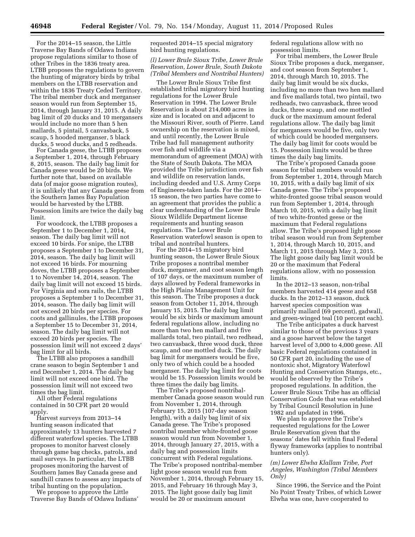For the 2014–15 season, the Little Traverse Bay Bands of Odawa Indians propose regulations similar to those of other Tribes in the 1836 treaty area. LTBB proposes the regulations to govern the hunting of migratory birds by tribal members on the LTBB reservation and within the 1836 Treaty Ceded Territory. The tribal member duck and merganser season would run from September 15, 2014, through January 31, 2015. A daily bag limit of 20 ducks and 10 mergansers would include no more than 5 hen mallards, 5 pintail, 5 canvasback, 5 scaup, 5 hooded merganser, 5 black ducks, 5 wood ducks, and 5 redheads.

For Canada geese, the LTBB proposes a September 1, 2014, through February 8, 2015, season. The daily bag limit for Canada geese would be 20 birds. We further note that, based on available data (of major goose migration routes), it is unlikely that any Canada geese from the Southern James Bay Population would be harvested by the LTBB. Possession limits are twice the daily bag limit.

For woodcock, the LTBB proposes a September 1 to December 1, 2014, season. The daily bag limit will not exceed 10 birds. For snipe, the LTBB proposes a September 1 to December 31, 2014, season. The daily bag limit will not exceed 16 birds. For mourning doves, the LTBB proposes a September 1 to November 14, 2014, season. The daily bag limit will not exceed 15 birds. For Virginia and sora rails, the LTBB proposes a September 1 to December 31, 2014, season. The daily bag limit will not exceed 20 birds per species. For coots and gallinules, the LTBB proposes a September 15 to December 31, 2014, season. The daily bag limit will not exceed 20 birds per species. The possession limit will not exceed 2 days' bag limit for all birds.

The LTBB also proposes a sandhill crane season to begin September 1 and end December 1, 2014. The daily bag limit will not exceed one bird. The possession limit will not exceed two times the bag limit.

All other Federal regulations contained in 50 CFR part 20 would apply.

Harvest surveys from 2013–14 hunting season indicated that approximately 13 hunters harvested 7 different waterfowl species. The LTBB proposes to monitor harvest closely through game bag checks, patrols, and mail surveys. In particular, the LTBB proposes monitoring the harvest of Southern James Bay Canada geese and sandhill cranes to assess any impacts of tribal hunting on the population.

We propose to approve the Little Traverse Bay Bands of Odawa Indians' requested 2014–15 special migratory bird hunting regulations.

# *(l) Lower Brule Sioux Tribe, Lower Brule Reservation, Lower Brule, South Dakota (Tribal Members and Nontribal Hunters)*

The Lower Brule Sioux Tribe first established tribal migratory bird hunting regulations for the Lower Brule Reservation in 1994. The Lower Brule Reservation is about 214,000 acres in size and is located on and adjacent to the Missouri River, south of Pierre. Land ownership on the reservation is mixed, and until recently, the Lower Brule Tribe had full management authority over fish and wildlife via a memorandum of agreement (MOA) with the State of South Dakota. The MOA provided the Tribe jurisdiction over fish and wildlife on reservation lands, including deeded and U.S. Army Corps of Engineers-taken lands. For the 2014– 15 season, the two parties have come to an agreement that provides the public a clear understanding of the Lower Brule Sioux Wildlife Department license requirements and hunting season regulations. The Lower Brule Reservation waterfowl season is open to tribal and nontribal hunters.

For the 2014–15 migratory bird hunting season, the Lower Brule Sioux Tribe proposes a nontribal member duck, merganser, and coot season length of 107 days, or the maximum number of days allowed by Federal frameworks in the High Plains Management Unit for this season. The Tribe proposes a duck season from October 11, 2014, through January 15, 2015. The daily bag limit would be six birds or maximum amount federal regulations allow, including no more than two hen mallard and five mallards total, two pintail, two redhead, two canvasback, three wood duck, three scaup, and one mottled duck. The daily bag limit for mergansers would be five, only two of which could be a hooded merganser. The daily bag limit for coots would be 15. Possession limits would be three times the daily bag limits.

The Tribe's proposed nontribalmember Canada goose season would run from November 1, 2014, through February 15, 2015 (107-day season length), with a daily bag limit of six Canada geese. The Tribe's proposed nontribal member white-fronted goose season would run from November 1, 2014, through January 27, 2015, with a daily bag and possession limits concurrent with Federal regulations. The Tribe's proposed nontribal-member light goose season would run from November 1, 2014, through February 15, 2015, and February 16 through May 3, 2015. The light goose daily bag limit would be 20 or maximum amount

federal regulations allow with no possession limits.

For tribal members, the Lower Brule Sioux Tribe proposes a duck, merganser, and coot season from September 1, 2014, through March 10, 2015. The daily bag limit would be six ducks, including no more than two hen mallard and five mallards total, two pintail, two redheads, two canvasback, three wood ducks, three scaup, and one mottled duck or the maximum amount federal regulations allow. The daily bag limit for mergansers would be five, only two of which could be hooded mergansers. The daily bag limit for coots would be 15. Possession limits would be three times the daily bag limits.

The Tribe's proposed Canada goose season for tribal members would run from September 1, 2014, through March 10, 2015, with a daily bag limit of six Canada geese. The Tribe's proposed white-fronted goose tribal season would run from September 1, 2014, through March 10, 2015, with a daily bag limit of two white-fronted geese or the maximum that Federal regulations allow. The Tribe's proposed light goose tribal season would run from September 1, 2014, through March 10, 2015, and March 11, 2015 through May 3, 2015. The light goose daily bag limit would be 20 or the maximum that Federal regulations allow, with no possession limits.

In the 2012–13 season, non-tribal members harvested 414 geese and 658 ducks. In the 2012–13 season, duck harvest species composition was primarily mallard (69 percent), gadwall, and green-winged teal (10 percent each).

The Tribe anticipates a duck harvest similar to those of the previous 3 years and a goose harvest below the target harvest level of 3,000 to 4,000 geese. All basic Federal regulations contained in 50 CFR part 20, including the use of nontoxic shot, Migratory Waterfowl Hunting and Conservation Stamps, etc., would be observed by the Tribe's proposed regulations. In addition, the Lower Brule Sioux Tribe has an official Conservation Code that was established by Tribal Council Resolution in June 1982 and updated in 1996.

We plan to approve the Tribe's requested regulations for the Lower Brule Reservation given that the seasons' dates fall within final Federal flyway frameworks (applies to nontribal hunters only).

# *(m) Lower Elwha Klallam Tribe, Port Angeles, Washington (Tribal Members Only)*

Since 1996, the Service and the Point No Point Treaty Tribes, of which Lower Elwha was one, have cooperated to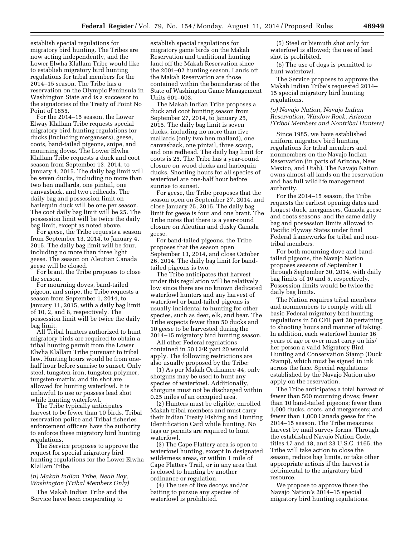establish special regulations for migratory bird hunting. The Tribes are now acting independently, and the Lower Elwha Klallam Tribe would like to establish migratory bird hunting regulations for tribal members for the 2014–15 season. The Tribe has a reservation on the Olympic Peninsula in Washington State and is a successor to the signatories of the Treaty of Point No Point of 1855.

For the 2014–15 season, the Lower Elway Klallam Tribe requests special migratory bird hunting regulations for ducks (including mergansers), geese, coots, band-tailed pigeons, snipe, and mourning doves. The Lower Elwha Klallam Tribe requests a duck and coot season from September 13, 2014, to January 4, 2015. The daily bag limit will be seven ducks, including no more than two hen mallards, one pintail, one canvasback, and two redheads. The daily bag and possession limit on harlequin duck will be one per season. The coot daily bag limit will be 25. The possession limit will be twice the daily bag limit, except as noted above.

For geese, the Tribe requests a season from September 13, 2014, to January 4, 2015. The daily bag limit will be four, including no more than three light geese. The season on Aleutian Canada geese will be closed.

For brant, the Tribe proposes to close the season.

For mourning doves, band-tailed pigeon, and snipe, the Tribe requests a season from September 1, 2014, to January 11, 2015, with a daily bag limit of 10, 2, and 8, respectively. The possession limit will be twice the daily bag limit.

All Tribal hunters authorized to hunt migratory birds are required to obtain a tribal hunting permit from the Lower Elwha Klallam Tribe pursuant to tribal law. Hunting hours would be from onehalf hour before sunrise to sunset. Only steel, tungsten-iron, tungsten-polymer, tungsten-matrix, and tin shot are allowed for hunting waterfowl. It is unlawful to use or possess lead shot while hunting waterfowl.

The Tribe typically anticipates harvest to be fewer than 10 birds. Tribal reservation police and Tribal fisheries enforcement officers have the authority to enforce these migratory bird hunting regulations.

The Service proposes to approve the request for special migratory bird hunting regulations for the Lower Elwha Klallam Tribe.

# *(n) Makah Indian Tribe, Neah Bay, Washington (Tribal Members Only)*

The Makah Indian Tribe and the Service have been cooperating to

establish special regulations for migratory game birds on the Makah Reservation and traditional hunting land off the Makah Reservation since the 2001–02 hunting season. Lands off the Makah Reservation are those contained within the boundaries of the State of Washington Game Management Units 601–603.

The Makah Indian Tribe proposes a duck and coot hunting season from September 27, 2014, to January 25, 2015. The daily bag limit is seven ducks, including no more than five mallards (only two hen mallard), one canvasback, one pintail, three scaup, and one redhead. The daily bag limit for coots is 25. The Tribe has a year-round closure on wood ducks and harlequin ducks. Shooting hours for all species of waterfowl are one-half hour before sunrise to sunset.

For geese, the Tribe proposes that the season open on September 27, 2014, and close January 25, 2015. The daily bag limit for geese is four and one brant. The Tribe notes that there is a year-round closure on Aleutian and dusky Canada geese.

For band-tailed pigeons, the Tribe proposes that the season open September 13, 2014, and close October 26, 2014. The daily bag limit for bandtailed pigeons is two.

The Tribe anticipates that harvest under this regulation will be relatively low since there are no known dedicated waterfowl hunters and any harvest of waterfowl or band-tailed pigeons is usually incidental to hunting for other species, such as deer, elk, and bear. The Tribe expects fewer than 50 ducks and 10 geese to be harvested during the 2014–15 migratory bird hunting season.

All other Federal regulations contained in 50 CFR part 20 would apply. The following restrictions are also usually proposed by the Tribe:

(1) As per Makah Ordinance 44, only shotguns may be used to hunt any species of waterfowl. Additionally, shotguns must not be discharged within 0.25 miles of an occupied area.

(2) Hunters must be eligible, enrolled Makah tribal members and must carry their Indian Treaty Fishing and Hunting Identification Card while hunting. No tags or permits are required to hunt waterfowl.

(3) The Cape Flattery area is open to waterfowl hunting, except in designated wilderness areas, or within 1 mile of Cape Flattery Trail, or in any area that is closed to hunting by another ordinance or regulation.

(4) The use of live decoys and/or baiting to pursue any species of waterfowl is prohibited.

(5) Steel or bismuth shot only for waterfowl is allowed; the use of lead shot is prohibited.

(6) The use of dogs is permitted to hunt waterfowl.

The Service proposes to approve the Makah Indian Tribe's requested 2014– 15 special migratory bird hunting regulations.

#### *(o) Navajo Nation, Navajo Indian Reservation, Window Rock, Arizona (Tribal Members and Nontribal Hunters)*

Since 1985, we have established uniform migratory bird hunting regulations for tribal members and nonmembers on the Navajo Indian Reservation (in parts of Arizona, New Mexico, and Utah). The Navajo Nation owns almost all lands on the reservation and has full wildlife management authority.

For the 2014–15 season, the Tribe requests the earliest opening dates and longest duck, mergansers, Canada geese and coots seasons, and the same daily bag and possession limits allowed to Pacific Flyway States under final Federal frameworks for tribal and nontribal members.

For both mourning dove and bandtailed pigeons, the Navajo Nation proposes seasons of September 1 through September 30, 2014, with daily bag limits of 10 and 5, respectively. Possession limits would be twice the daily bag limits.

The Nation requires tribal members and nonmembers to comply with all basic Federal migratory bird hunting regulations in 50 CFR part 20 pertaining to shooting hours and manner of taking. In addition, each waterfowl hunter 16 years of age or over must carry on his/ her person a valid Migratory Bird Hunting and Conservation Stamp (Duck Stamp), which must be signed in ink across the face. Special regulations established by the Navajo Nation also apply on the reservation.

The Tribe anticipates a total harvest of fewer than 500 mourning doves; fewer than 10 band-tailed pigeons; fewer than 1,000 ducks, coots, and mergansers; and fewer than 1,000 Canada geese for the 2014–15 season. The Tribe measures harvest by mail survey forms. Through the established Navajo Nation Code, titles 17 and 18, and 23 U.S.C. 1165, the Tribe will take action to close the season, reduce bag limits, or take other appropriate actions if the harvest is detrimental to the migratory bird resource.

We propose to approve those the Navajo Nation's 2014–15 special migratory bird hunting regulations.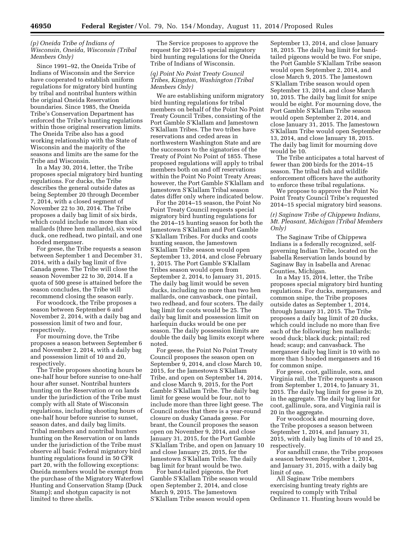# *(p) Oneida Tribe of Indians of Wisconsin, Oneida, Wisconsin (Tribal Members Only)*

Since 1991–92, the Oneida Tribe of Indians of Wisconsin and the Service have cooperated to establish uniform regulations for migratory bird hunting by tribal and nontribal hunters within the original Oneida Reservation boundaries. Since 1985, the Oneida Tribe's Conservation Department has enforced the Tribe's hunting regulations within those original reservation limits. The Oneida Tribe also has a good working relationship with the State of Wisconsin and the majority of the seasons and limits are the same for the Tribe and Wisconsin.

In a May 30, 2014, letter, the Tribe proposes special migratory bird hunting regulations. For ducks, the Tribe describes the general outside dates as being September 20 through December 7, 2014, with a closed segment of November 22 to 30, 2014. The Tribe proposes a daily bag limit of six birds, which could include no more than six mallards (three hen mallards), six wood duck, one redhead, two pintail, and one hooded merganser.

For geese, the Tribe requests a season between September 1 and December 31, 2014, with a daily bag limit of five Canada geese. The Tribe will close the season November 22 to 30, 2014. If a quota of 500 geese is attained before the season concludes, the Tribe will recommend closing the season early.

For woodcock, the Tribe proposes a season between September 6 and November 2, 2014, with a daily bag and possession limit of two and four, respectively.

For mourning dove, the Tribe proposes a season between September 6 and November 2, 2014, with a daily bag and possession limit of 10 and 20, respectively.

The Tribe proposes shooting hours be one-half hour before sunrise to one-half hour after sunset. Nontribal hunters hunting on the Reservation or on lands under the jurisdiction of the Tribe must comply with all State of Wisconsin regulations, including shooting hours of one-half hour before sunrise to sunset, season dates, and daily bag limits. Tribal members and nontribal hunters hunting on the Reservation or on lands under the jurisdiction of the Tribe must observe all basic Federal migratory bird hunting regulations found in 50 CFR part 20, with the following exceptions: Oneida members would be exempt from the purchase of the Migratory Waterfowl Hunting and Conservation Stamp (Duck Stamp); and shotgun capacity is not limited to three shells.

The Service proposes to approve the request for 2014–15 special migratory bird hunting regulations for the Oneida Tribe of Indians of Wisconsin.

# *(q) Point No Point Treaty Council Tribes, Kingston, Washington (Tribal Members Only)*

We are establishing uniform migratory bird hunting regulations for tribal members on behalf of the Point No Point Treaty Council Tribes, consisting of the Port Gamble S'Klallam and Jamestown S'Klallam Tribes. The two tribes have reservations and ceded areas in northwestern Washington State and are the successors to the signatories of the Treaty of Point No Point of 1855. These proposed regulations will apply to tribal members both on and off reservations within the Point No Point Treaty Areas; however, the Port Gamble S'Klallam and Jamestown S'Klallam Tribal season dates differ only where indicated below.

For the 2014–15 season, the Point No Point Treaty Council requests special migratory bird hunting regulations for the 2014–15 hunting season for both the Jamestown S'Klallam and Port Gamble S'Klallam Tribes. For ducks and coots hunting season, the Jamestown S'Klallam Tribe season would open September 13, 2014, and close February 1, 2015. The Port Gamble S'Klallam Tribes season would open from September 2, 2014, to January 31, 2015. The daily bag limit would be seven ducks, including no more than two hen mallards, one canvasback, one pintail, two redhead, and four scoters. The daily bag limit for coots would be 25. The daily bag limit and possession limit on harlequin ducks would be one per season. The daily possession limits are double the daily bag limits except where noted.

For geese, the Point No Point Treaty Council proposes the season open on September 9, 2014, and close March 10, 2015, for the Jamestown S'Klallam Tribe, and open on September 14, 2014, and close March 9, 2015, for the Port Gamble S'Klallam Tribe. The daily bag limit for geese would be four, not to include more than three light geese. The Council notes that there is a year-round closure on dusky Canada geese. For brant, the Council proposes the season open on November 9, 2014, and close January 31, 2015, for the Port Gamble S'Klallam Tribe, and open on January 10 and close January 25, 2015, for the Jamestown S'Klallam Tribe. The daily bag limit for brant would be two.

For band-tailed pigeons, the Port Gamble S'Klallam Tribe season would open September 2, 2014, and close March 9, 2015. The Jamestown S'Klallam Tribe season would open

September 13, 2014, and close January 18, 2015. The daily bag limit for bandtailed pigeons would be two. For snipe, the Port Gamble S'Klallam Tribe season would open September 2, 2014, and close March 9, 2015. The Jamestown S'Klallam Tribe season would open September 13, 2014, and close March 10, 2015. The daily bag limit for snipe would be eight. For mourning dove, the Port Gamble S'Klallam Tribe season would open September 2, 2014, and close January 31, 2015. The Jamestown S'Klallam Tribe would open September 13, 2014, and close January 18, 2015. The daily bag limit for mourning dove would be 10.

The Tribe anticipates a total harvest of fewer than 200 birds for the 2014–15 season. The tribal fish and wildlife enforcement officers have the authority to enforce these tribal regulations.

We propose to approve the Point No Point Treaty Council Tribe's requested 2014–15 special migratory bird seasons.

# *(r) Saginaw Tribe of Chippewa Indians, Mt. Pleasant, Michigan (Tribal Members Only)*

The Saginaw Tribe of Chippewa Indians is a federally recognized, selfgoverning Indian Tribe, located on the Isabella Reservation lands bound by Saginaw Bay in Isabella and Arenac Counties, Michigan.

In a May 15, 2014, letter, the Tribe proposes special migratory bird hunting regulations. For ducks, mergansers, and common snipe, the Tribe proposes outside dates as September 1, 2014, through January 31, 2015. The Tribe proposes a daily bag limit of 20 ducks, which could include no more than five each of the following: hen mallards; wood duck; black duck; pintail; red head; scaup; and canvasback. The merganser daily bag limit is 10 with no more than 5 hooded mergansers and 16 for common snipe.

For geese, coot, gallinule, sora, and Virginia rail, the Tribe requests a season from September 1, 2014, to January 31, 2015. The daily bag limit for geese is 20, in the aggregate. The daily bag limit for coot, gallinule, sora, and Virginia rail is 20 in the aggregate.

For woodcock and mourning dove, the Tribe proposes a season between September 1, 2014, and January 31, 2015, with daily bag limits of 10 and 25, respectively.

For sandhill crane, the Tribe proposes a season between September 1, 2014, and January 31, 2015, with a daily bag limit of one.

All Saginaw Tribe members exercising hunting treaty rights are required to comply with Tribal Ordinance 11. Hunting hours would be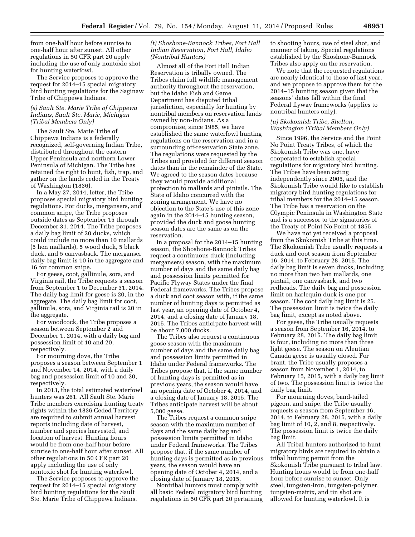from one-half hour before sunrise to one-half hour after sunset. All other regulations in 50 CFR part 20 apply including the use of only nontoxic shot for hunting waterfowl.

The Service proposes to approve the request for 2014–15 special migratory bird hunting regulations for the Saginaw Tribe of Chippewa Indians.

#### *(s) Sault Ste. Marie Tribe of Chippewa Indians, Sault Ste. Marie, Michigan (Tribal Members Only)*

The Sault Ste. Marie Tribe of Chippewa Indians is a federally recognized, self-governing Indian Tribe, distributed throughout the eastern Upper Peninsula and northern Lower Peninsula of Michigan. The Tribe has retained the right to hunt, fish, trap, and gather on the lands ceded in the Treaty of Washington (1836).

In a May 27, 2014, letter, the Tribe proposes special migratory bird hunting regulations. For ducks, mergansers, and common snipe, the Tribe proposes outside dates as September 15 through December 31, 2014. The Tribe proposes a daily bag limit of 20 ducks, which could include no more than 10 mallards (5 hen mallards), 5 wood duck, 5 black duck, and 5 canvasback. The merganser daily bag limit is 10 in the aggregate and 16 for common snipe.

For geese, coot, gallinule, sora, and Virginia rail, the Tribe requests a season from September 1 to December 31, 2014. The daily bag limit for geese is 20, in the aggregate. The daily bag limit for coot, gallinule, sora, and Virginia rail is 20 in the aggregate.

For woodcock, the Tribe proposes a season between September 2 and December 1, 2014, with a daily bag and possession limit of 10 and 20, respectively.

For mourning dove, the Tribe proposes a season between September 1 and November 14, 2014, with a daily bag and possession limit of 10 and 20, respectively.

In 2013, the total estimated waterfowl hunters was 261. All Sault Ste. Marie Tribe members exercising hunting treaty rights within the 1836 Ceded Territory are required to submit annual harvest reports including date of harvest, number and species harvested, and location of harvest. Hunting hours would be from one-half hour before sunrise to one-half hour after sunset. All other regulations in 50 CFR part 20 apply including the use of only nontoxic shot for hunting waterfowl.

The Service proposes to approve the request for 2014–15 special migratory bird hunting regulations for the Sault Ste. Marie Tribe of Chippewa Indians.

# *(t) Shoshone-Bannock Tribes, Fort Hall Indian Reservation, Fort Hall, Idaho (Nontribal Hunters)*

Almost all of the Fort Hall Indian Reservation is tribally owned. The Tribes claim full wildlife management authority throughout the reservation, but the Idaho Fish and Game Department has disputed tribal jurisdiction, especially for hunting by nontribal members on reservation lands owned by non-Indians. As a compromise, since 1985, we have established the same waterfowl hunting regulations on the reservation and in a surrounding off-reservation State zone. The regulations were requested by the Tribes and provided for different season dates than in the remainder of the State. We agreed to the season dates because they would provide additional protection to mallards and pintails. The State of Idaho concurred with the zoning arrangement. We have no objection to the State's use of this zone again in the 2014–15 hunting season, provided the duck and goose hunting season dates are the same as on the reservation.

In a proposal for the 2014–15 hunting season, the Shoshone-Bannock Tribes request a continuous duck (including mergansers) season, with the maximum number of days and the same daily bag and possession limits permitted for Pacific Flyway States under the final Federal frameworks. The Tribes propose a duck and coot season with, if the same number of hunting days is permitted as last year, an opening date of October 4, 2014, and a closing date of January 18, 2015. The Tribes anticipate harvest will be about 7,000 ducks.

The Tribes also request a continuous goose season with the maximum number of days and the same daily bag and possession limits permitted in Idaho under Federal frameworks. The Tribes propose that, if the same number of hunting days is permitted as in previous years, the season would have an opening date of October 4, 2014, and a closing date of January 18, 2015. The Tribes anticipate harvest will be about 5,000 geese.

The Tribes request a common snipe season with the maximum number of days and the same daily bag and possession limits permitted in Idaho under Federal frameworks. The Tribes propose that, if the same number of hunting days is permitted as in previous years, the season would have an opening date of October 4, 2014, and a closing date of January 18, 2015.

Nontribal hunters must comply with all basic Federal migratory bird hunting regulations in 50 CFR part 20 pertaining to shooting hours, use of steel shot, and manner of taking. Special regulations established by the Shoshone-Bannock Tribes also apply on the reservation.

We note that the requested regulations are nearly identical to those of last year, and we propose to approve them for the 2014–15 hunting season given that the seasons' dates fall within the final Federal flyway frameworks (applies to nontribal hunters only).

#### *(u) Skokomish Tribe, Shelton, Washington (Tribal Members Only)*

Since 1996, the Service and the Point No Point Treaty Tribes, of which the Skokomish Tribe was one, have cooperated to establish special regulations for migratory bird hunting. The Tribes have been acting independently since 2005, and the Skokomish Tribe would like to establish migratory bird hunting regulations for tribal members for the 2014–15 season. The Tribe has a reservation on the Olympic Peninsula in Washington State and is a successor to the signatories of the Treaty of Point No Point of 1855.

We have not yet received a proposal from the Skokomish Tribe at this time. The Skokomish Tribe usually requests a duck and coot season from September 16, 2014, to February 28, 2015. The daily bag limit is seven ducks, including no more than two hen mallards, one pintail, one canvasback, and two redheads. The daily bag and possession limit on harlequin duck is one per season. The coot daily bag limit is 25. The possession limit is twice the daily bag limit, except as noted above.

For geese, the Tribe usually requests a season from September 16, 2014, to February 28, 2015. The daily bag limit is four, including no more than three light geese. The season on Aleutian Canada geese is usually closed. For brant, the Tribe usually proposes a season from November 1, 2014, to February 15, 2015, with a daily bag limit of two. The possession limit is twice the daily bag limit.

For mourning doves, band-tailed pigeon, and snipe, the Tribe usually requests a season from September 16, 2014, to February 28, 2015, with a daily bag limit of 10, 2, and 8, respectively. The possession limit is twice the daily bag limit.

All Tribal hunters authorized to hunt migratory birds are required to obtain a tribal hunting permit from the Skokomish Tribe pursuant to tribal law. Hunting hours would be from one-half hour before sunrise to sunset. Only steel, tungsten-iron, tungsten-polymer, tungsten-matrix, and tin shot are allowed for hunting waterfowl. It is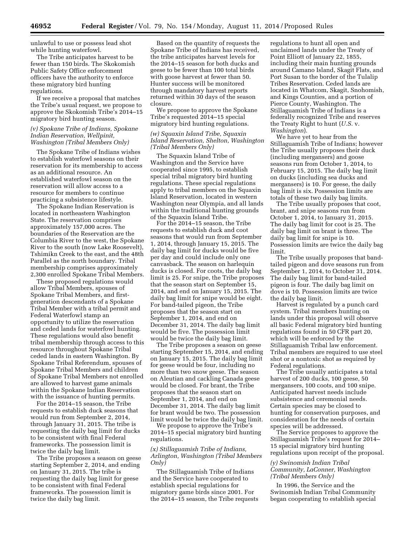unlawful to use or possess lead shot while hunting waterfowl.

The Tribe anticipates harvest to be fewer than 150 birds. The Skokomish Public Safety Office enforcement officers have the authority to enforce these migratory bird hunting regulations.

If we receive a proposal that matches the Tribe's usual request, we propose to approve the Skokomish Tribe's 2014–15 migratory bird hunting season.

# *(v) Spokane Tribe of Indians, Spokane Indian Reservation, Wellpinit, Washington (Tribal Members Only)*

The Spokane Tribe of Indians wishes to establish waterfowl seasons on their reservation for its membership to access as an additional resource. An established waterfowl season on the reservation will allow access to a resource for members to continue practicing a subsistence lifestyle.

The Spokane Indian Reservation is located in northeastern Washington State. The reservation comprises approximately 157,000 acres. The boundaries of the Reservation are the Columbia River to the west, the Spokane River to the south (now Lake Roosevelt), Tshimikn Creek to the east, and the 48th Parallel as the north boundary. Tribal membership comprises approximately 2,300 enrolled Spokane Tribal Members.

These proposed regulations would allow Tribal Members, spouses of Spokane Tribal Members, and firstgeneration descendants of a Spokane Tribal Member with a tribal permit and Federal Waterfowl stamp an opportunity to utilize the reservation and ceded lands for waterfowl hunting. These regulations would also benefit tribal membership through access to this resource throughout Spokane Tribal ceded lands in eastern Washington. By Spokane Tribal Referendum, spouses of Spokane Tribal Members and children of Spokane Tribal Members not enrolled are allowed to harvest game animals within the Spokane Indian Reservation with the issuance of hunting permits.

For the 2014–15 season, the Tribe requests to establish duck seasons that would run from September 2, 2014, through January 31, 2015. The tribe is requesting the daily bag limit for ducks to be consistent with final Federal frameworks. The possession limit is twice the daily bag limit.

The Tribe proposes a season on geese starting September 2, 2014, and ending on January 31, 2015. The tribe is requesting the daily bag limit for geese to be consistent with final Federal frameworks. The possession limit is twice the daily bag limit.

Based on the quantity of requests the Spokane Tribe of Indians has received, the tribe anticipates harvest levels for the 2014–15 season for both ducks and geese to be fewer than 100 total birds with goose harvest at fewer than 50. Hunter success will be monitored through mandatory harvest reports returned within 30 days of the season closure.

We propose to approve the Spokane Tribe's requested 2014–15 special migratory bird hunting regulations.

# *(w) Squaxin Island Tribe, Squaxin Island Reservation, Shelton, Washington (Tribal Members Only)*

The Squaxin Island Tribe of Washington and the Service have cooperated since 1995, to establish special tribal migratory bird hunting regulations. These special regulations apply to tribal members on the Squaxin Island Reservation, located in western Washington near Olympia, and all lands within the traditional hunting grounds of the Squaxin Island Tribe.

For the 2014–15 season, the Tribe requests to establish duck and coot seasons that would run from September 1, 2014, through January 15, 2015. The daily bag limit for ducks would be five per day and could include only one canvasback. The season on harlequin ducks is closed. For coots, the daily bag limit is 25. For snipe, the Tribe proposes that the season start on September 15, 2014, and end on January 15, 2015. The daily bag limit for snipe would be eight. For band-tailed pigeon, the Tribe proposes that the season start on September 1, 2014, and end on December 31, 2014. The daily bag limit would be five. The possession limit would be twice the daily bag limit.

The Tribe proposes a season on geese starting September 15, 2014, and ending on January 15, 2015. The daily bag limit for geese would be four, including no more than two snow geese. The season on Aleutian and cackling Canada geese would be closed. For brant, the Tribe proposes that the season start on September 1, 2014, and end on December 31, 2014. The daily bag limit for brant would be two. The possession limit would be twice the daily bag limit.

We propose to approve the Tribe's 2014–15 special migratory bird hunting regulations.

#### *(x) Stillaguamish Tribe of Indians, Arlington, Washington (Tribal Members Only)*

The Stillaguamish Tribe of Indians and the Service have cooperated to establish special regulations for migratory game birds since 2001. For the 2014–15 season, the Tribe requests regulations to hunt all open and unclaimed lands under the Treaty of Point Elliott of January 22, 1855, including their main hunting grounds around Camano Island, Skagit Flats, and Port Susan to the border of the Tulalip Tribes Reservation. Ceded lands are located in Whatcom, Skagit, Snohomish, and Kings Counties, and a portion of Pierce County, Washington. The Stillaguamish Tribe of Indians is a federally recognized Tribe and reserves the Treaty Right to hunt (*U.S.* v. *Washington*).

We have yet to hear from the Stillaguamish Tribe of Indians; however the Tribe usually proposes their duck (including mergansers) and goose seasons run from October 1, 2014, to February 15, 2015. The daily bag limit on ducks (including sea ducks and mergansers) is 10. For geese, the daily bag limit is six. Possession limits are totals of these two daily bag limits.

The Tribe usually proposes that coot, brant, and snipe seasons run from October 1, 2014, to January 31, 2015. The daily bag limit for coot is 25. The daily bag limit on brant is three. The daily bag limit for snipe is 10. Possession limits are twice the daily bag limit.

The Tribe usually proposes that bandtailed pigeon and dove seasons run from September 1, 2014, to October 31, 2014. The daily bag limit for band-tailed pigeon is four. The daily bag limit on dove is 10. Possession limits are twice the daily bag limit.

Harvest is regulated by a punch card system. Tribal members hunting on lands under this proposal will observe all basic Federal migratory bird hunting regulations found in 50 CFR part 20, which will be enforced by the Stillaguamish Tribal law enforcement. Tribal members are required to use steel shot or a nontoxic shot as required by Federal regulations.

The Tribe usually anticipates a total harvest of 200 ducks, 100 geese, 50 mergansers, 100 coots, and 100 snipe. Anticipated harvest needs include subsistence and ceremonial needs. Certain species may be closed to hunting for conservation purposes, and consideration for the needs of certain species will be addressed.

The Service proposes to approve the Stillaguamish Tribe's request for 2014– 15 special migratory bird hunting regulations upon receipt of the proposal.

# *(y) Swinomish Indian Tribal Community, LaConner, Washington (Tribal Members Only)*

In 1996, the Service and the Swinomish Indian Tribal Community began cooperating to establish special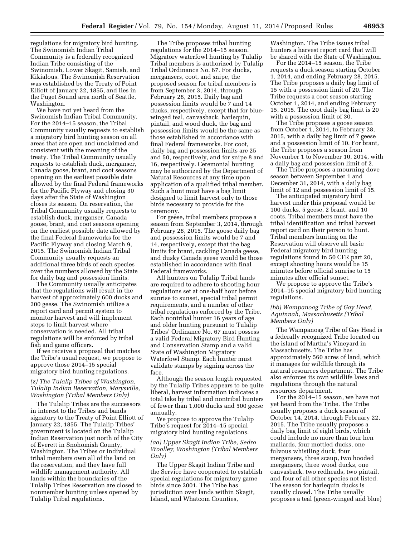regulations for migratory bird hunting. The Swinomish Indian Tribal Community is a federally recognized Indian Tribe consisting of the Swinomish, Lower Skagit, Samish, and Kikialous. The Swinomish Reservation was established by the Treaty of Point Elliott of January 22, 1855, and lies in the Puget Sound area north of Seattle, Washington.

We have not yet heard from the Swinomish Indian Tribal Community. For the 2014–15 season, the Tribal Community usually requests to establish a migratory bird hunting season on all areas that are open and unclaimed and consistent with the meaning of the treaty. The Tribal Community usually requests to establish duck, merganser, Canada goose, brant, and coot seasons opening on the earliest possible date allowed by the final Federal frameworks for the Pacific Flyway and closing 30 days after the State of Washington closes its season. On reservation, the Tribal Community usually requests to establish duck, merganser, Canada goose, brant, and coot seasons opening on the earliest possible date allowed by the final Federal frameworks for the Pacific Flyway and closing March 9, 2015. The Swinomish Indian Tribal Community usually requests an additional three birds of each species over the numbers allowed by the State for daily bag and possession limits.

The Community usually anticipates that the regulations will result in the harvest of approximately 600 ducks and 200 geese. The Swinomish utilize a report card and permit system to monitor harvest and will implement steps to limit harvest where conservation is needed. All tribal regulations will be enforced by tribal fish and game officers.

If we receive a proposal that matches the Tribe's usual request, we propose to approve those 2014–15 special migratory bird hunting regulations.

# *(z) The Tulalip Tribes of Washington, Tulalip Indian Reservation, Marysville, Washington (Tribal Members Only)*

The Tulalip Tribes are the successors in interest to the Tribes and bands signatory to the Treaty of Point Elliott of January 22, 1855. The Tulalip Tribes' government is located on the Tulalip Indian Reservation just north of the City of Everett in Snohomish County, Washington. The Tribes or individual tribal members own all of the land on the reservation, and they have full wildlife management authority. All lands within the boundaries of the Tulalip Tribes Reservation are closed to nonmember hunting unless opened by Tulalip Tribal regulations.

The Tribe proposes tribal hunting regulations for the 2014–15 season. Migratory waterfowl hunting by Tulalip Tribal members is authorized by Tulalip Tribal Ordinance No. 67. For ducks, mergansers, coot, and snipe, the proposed season for tribal members is from September 3, 2014, through February 28, 2015. Daily bag and possession limits would be 7 and 14 ducks, respectively, except that for bluewinged teal, canvasback, harlequin, pintail, and wood duck, the bag and possession limits would be the same as those established in accordance with final Federal frameworks. For coot, daily bag and possession limits are 25 and 50, respectively, and for snipe 8 and 16, respectively. Ceremonial hunting may be authorized by the Department of Natural Resources at any time upon application of a qualified tribal member. Such a hunt must have a bag limit designed to limit harvest only to those birds necessary to provide for the ceremony.

For geese, tribal members propose a season from September 3, 2014, through February 28, 2015. The goose daily bag and possession limits would be 7 and 14, respectively, except that the bag limits for brant, cackling Canada geese, and dusky Canada geese would be those established in accordance with final Federal frameworks.

All hunters on Tulalip Tribal lands are required to adhere to shooting hour regulations set at one-half hour before sunrise to sunset, special tribal permit requirements, and a number of other tribal regulations enforced by the Tribe. Each nontribal hunter 16 years of age and older hunting pursuant to Tulalip Tribes' Ordinance No. 67 must possess a valid Federal Migratory Bird Hunting and Conservation Stamp and a valid State of Washington Migratory Waterfowl Stamp. Each hunter must validate stamps by signing across the face.

Although the season length requested by the Tulalip Tribes appears to be quite liberal, harvest information indicates a total take by tribal and nontribal hunters of fewer than 1,000 ducks and 500 geese annually.

We propose to approve the Tulalip Tribe's request for 2014–15 special migratory bird hunting regulations.

# *(aa) Upper Skagit Indian Tribe, Sedro Woolley, Washington (Tribal Members Only)*

The Upper Skagit Indian Tribe and the Service have cooperated to establish special regulations for migratory game birds since 2001. The Tribe has jurisdiction over lands within Skagit, Island, and Whatcom Counties,

Washington. The Tribe issues tribal hunters a harvest report card that will be shared with the State of Washington.

For the 2014–15 season, the Tribe requests a duck season starting October 1, 2014, and ending February 28, 2015. The Tribe proposes a daily bag limit of 15 with a possession limit of 20. The Tribe requests a coot season starting October 1, 2014, and ending February 15, 2015. The coot daily bag limit is 20 with a possession limit of 30.

The Tribe proposes a goose season from October 1, 2014, to February 28, 2015, with a daily bag limit of 7 geese and a possession limit of 10. For brant, the Tribe proposes a season from November 1 to November 10, 2014, with a daily bag and possession limit of 2.

The Tribe proposes a mourning dove season between September 1 and December 31, 2014, with a daily bag limit of 12 and possession limit of 15.

The anticipated migratory bird harvest under this proposal would be 100 ducks, 5 geese, 2 brant, and 10 coots. Tribal members must have the tribal identification and tribal harvest report card on their person to hunt. Tribal members hunting on the Reservation will observe all basic Federal migratory bird hunting regulations found in 50 CFR part 20, except shooting hours would be 15 minutes before official sunrise to 15 minutes after official sunset.

We propose to approve the Tribe's 2014–15 special migratory bird hunting regulations.

#### *(bb) Wampanoag Tribe of Gay Head, Aquinnah, Massachusetts (Tribal Members Only)*

The Wampanoag Tribe of Gay Head is a federally recognized Tribe located on the island of Martha's Vineyard in Massachusetts. The Tribe has approximately 560 acres of land, which it manages for wildlife through its natural resources department. The Tribe also enforces its own wildlife laws and regulations through the natural resources department.

For the 2014–15 season, we have not yet heard from the Tribe. The Tribe usually proposes a duck season of October 14, 2014, through February 22, 2015. The Tribe usually proposes a daily bag limit of eight birds, which could include no more than four hen mallards, four mottled ducks, one fulvous whistling duck, four mergansers, three scaup, two hooded mergansers, three wood ducks, one canvasback, two redheads, two pintail, and four of all other species not listed. The season for harlequin ducks is usually closed. The Tribe usually proposes a teal (green-winged and blue)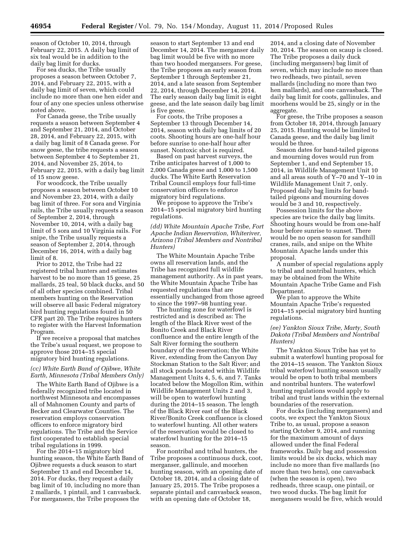season of October 10, 2014, through February 22, 2015. A daily bag limit of six teal would be in addition to the daily bag limit for ducks.

For sea ducks, the Tribe usually proposes a season between October 7, 2014, and February 22, 2015, with a daily bag limit of seven, which could include no more than one hen eider and four of any one species unless otherwise noted above.

For Canada geese, the Tribe usually requests a season between September 4 and September 21, 2014, and October 28, 2014, and February 22, 2015, with a daily bag limit of 8 Canada geese. For snow geese, the tribe requests a season between September 4 to September 21, 2014, and November 25, 2014, to February 22, 2015, with a daily bag limit of 15 snow geese.

For woodcock, the Tribe usually proposes a season between October 10 and November 23, 2014, with a daily bag limit of three. For sora and Virginia rails, the Tribe usually requests a season of September 2, 2014, through November 10, 2014, with a daily bag limit of 5 sora and 10 Virginia rails. For snipe, the Tribe usually requests a season of September 2, 2014, through December 16, 2014, with a daily bag limit of 8.

Prior to 2012, the Tribe had 22 registered tribal hunters and estimates harvest to be no more than 15 geese, 25 mallards, 25 teal, 50 black ducks, and 50 of all other species combined. Tribal members hunting on the Reservation will observe all basic Federal migratory bird hunting regulations found in 50 CFR part 20. The Tribe requires hunters to register with the Harvest Information Program.

If we receive a proposal that matches the Tribe's usual request, we propose to approve those 2014–15 special migratory bird hunting regulations.

# *(cc) White Earth Band of Ojibwe, White Earth, Minnesota (Tribal Members Only)*

The White Earth Band of Ojibwe is a federally recognized tribe located in northwest Minnesota and encompasses all of Mahnomen County and parts of Becker and Clearwater Counties. The reservation employs conservation officers to enforce migratory bird regulations. The Tribe and the Service first cooperated to establish special tribal regulations in 1999.

For the 2014–15 migratory bird hunting season, the White Earth Band of Ojibwe requests a duck season to start September 13 and end December 14, 2014. For ducks, they request a daily bag limit of 10, including no more than 2 mallards, 1 pintail, and 1 canvasback. For mergansers, the Tribe proposes the

season to start September 13 and end December 14, 2014. The merganser daily bag limit would be five with no more than two hooded mergansers. For geese, the Tribe proposes an early season from September 1 through September 21, 2014, and a late season from September 22, 2014, through December 14, 2014. The early season daily bag limit is eight geese, and the late season daily bag limit is five geese.

For coots, the Tribe proposes a September 13 through December 14, 2014, season with daily bag limits of 20 coots. Shooting hours are one-half hour before sunrise to one-half hour after sunset. Nontoxic shot is required.

Based on past harvest surveys, the Tribe anticipates harvest of 1,000 to 2,000 Canada geese and 1,000 to 1,500 ducks. The White Earth Reservation Tribal Council employs four full-time conservation officers to enforce migratory bird regulations.

We propose to approve the Tribe's 2014–15 special migratory bird hunting regulations.

*(dd) White Mountain Apache Tribe, Fort Apache Indian Reservation, Whiteriver, Arizona (Tribal Members and Nontribal Hunters)* 

The White Mountain Apache Tribe owns all reservation lands, and the Tribe has recognized full wildlife management authority. As in past years, the White Mountain Apache Tribe has requested regulations that are essentially unchanged from those agreed to since the 1997–98 hunting year.

The hunting zone for waterfowl is restricted and is described as: The length of the Black River west of the Bonito Creek and Black River confluence and the entire length of the Salt River forming the southern boundary of the reservation; the White River, extending from the Canyon Day Stockman Station to the Salt River; and all stock ponds located within Wildlife Management Units 4, 5, 6, and 7. Tanks located below the Mogollon Rim, within Wildlife Management Units 2 and 3, will be open to waterfowl hunting during the 2014–15 season. The length of the Black River east of the Black River/Bonito Creek confluence is closed to waterfowl hunting. All other waters of the reservation would be closed to waterfowl hunting for the 2014–15 season.

For nontribal and tribal hunters, the Tribe proposes a continuous duck, coot, merganser, gallinule, and moorhen hunting season, with an opening date of October 18, 2014, and a closing date of January 25, 2015. The Tribe proposes a separate pintail and canvasback season, with an opening date of October 18,

2014, and a closing date of November 30, 2014. The season on scaup is closed. The Tribe proposes a daily duck (including mergansers) bag limit of seven, which may include no more than two redheads, two pintail, seven mallards (including no more than two hen mallards), and one canvasback. The daily bag limit for coots, gallinules, and moorhens would be 25, singly or in the aggregate.

For geese, the Tribe proposes a season from October 18, 2014, through January 25, 2015. Hunting would be limited to Canada geese, and the daily bag limit would be three.

Season dates for band-tailed pigeons and mourning doves would run from September 1, and end September 15, 2014, in Wildlife Management Unit 10 and all areas south of Y–70 and Y–10 in Wildlife Management Unit 7, only. Proposed daily bag limits for bandtailed pigeons and mourning doves would be 3 and 10, respectively.

Possession limits for the above species are twice the daily bag limits. Shooting hours would be from one-half hour before sunrise to sunset. There would be no open season for sandhill cranes, rails, and snipe on the White Mountain Apache lands under this proposal.

A number of special regulations apply to tribal and nontribal hunters, which may be obtained from the White Mountain Apache Tribe Game and Fish Department.

We plan to approve the White Mountain Apache Tribe's requested 2014–15 special migratory bird hunting regulations.

# *(ee) Yankton Sioux Tribe, Marty, South Dakota (Tribal Members and Nontribal Hunters)*

The Yankton Sioux Tribe has yet to submit a waterfowl hunting proposal for the 2014–15 season. The Yankton Sioux tribal waterfowl hunting season usually would be open to both tribal members and nontribal hunters. The waterfowl hunting regulations would apply to tribal and trust lands within the external boundaries of the reservation.

For ducks (including mergansers) and coots, we expect the Yankton Sioux Tribe to, as usual, propose a season starting October 9, 2014, and running for the maximum amount of days allowed under the final Federal frameworks. Daily bag and possession limits would be six ducks, which may include no more than five mallards (no more than two hens), one canvasback (when the season is open), two redheads, three scaup, one pintail, or two wood ducks. The bag limit for mergansers would be five, which would